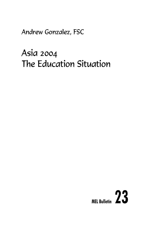Andrew Gonzalez, FSC

# Asia 2004 The Education Situation

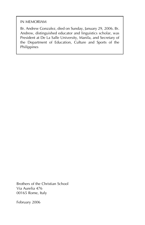#### IN MEMORIAM

Br. Andrew Gonzalez, died on Sunday, January 29, 2006. Br. Andrew, distinguished educator and linguistics scholar, was President at De La Salle University, Manila, and Secretary of the Department of Education, Culture and Sports of the Philippines

Brothers of the Christian School Via Aurelia 476 00165 Rome, Italy

February 2006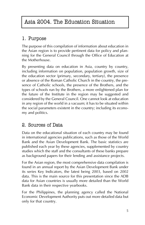# Asia 2004. The Education Situation

# 1. Purpose

The purpose of this compilation of information about education in the Asian region is to provide pertinent data for policy and planning for the General Council through the Office of Education at the Motherhouse.

By presenting data on education in Asia, country by country, including information on population, population growth, size of the education sector (primary, secondary, tertiary), the presence or absence of the Roman Catholic Church in the country, the presence of Catholic schools, the presence of the Brothers, and the types of schools run by the Brothers, a more enlightened plan for the future of the Institute in the region may be suggested and considered by the General Council. One cannot look at education in any region of the world in a vacuum; it has to be situated within the social parameters existent in the country; including its economy and politics.

# 2. Sources of Data

Data on the educational situation of each country may be found in international agencies publications, such as those of the World Bank and the Asian Development Bank. The basic statistics are published each year by these agencies, supplemented by country studies which the staff and the consultants of these banks prepare as background papers for their lending and assistance projects.

For the Asian region, the most comprehensive data compilation is found in an annual report by the Asian Development Bank under its series Key Indicators, the latest being 2003, based on 2002 data. This is the main source for this presentation since the ADB data for Asian countries is usually more detailed than the World Bank data in their respective yearbooks.

For the Philippines, the planning agency called the National Economic Development Authority puts out more detailed data but only for that country.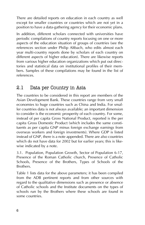There are detailed reports on education in each country as well except for smaller countries or countries which are not yet in a position to have a data-gathering agency for their economic plans.

In addition, different scholars connected with universities have periodic compilations of country reports focusing on one or more aspects of the education situation of groups of countries (see the references section under Philip Altbach, who edits almost each year multi-country reports done by scholars of each country on different aspects of higher education). There are likewise reports from various higher education organizations which put out directories and statistical data on institutional profiles of their members. Samples of these compilations may be found in the list of references.

# 2.1 Data per Country in Asia

The countries to be considered in this report are members of the Asian Development Bank. These countries range from very small economies to huge countries such as China and India. For smaller countries data is not always available; an important dimension to consider is the economic prosperity of each country. For some, instead of per capita Gross National Product, reported is the per capita Gross Domestic Product (which includes the same constituents as per capita GNP minus foreign exchange earnings from overseas workers and foreign investments). Where GDP is listed instead of GNP, there is a note appended. There are also countries which do not have data for 2002 but for earlier years; this is likewise indicated by a note.

3.1. Population, Population Growth, Sector of Population 6-17, Presence of the Roman Catholic church, Presence of Catholic Schools, Presence of the Brothers, Types of Schools of the Brothers.

Table 1 lists data for the above parameters; it has been compiled from the ADB pertinent reports and from other sources with regard to the qualitative dimensions such as presence or absence of Catholic schools and the Institute documents on the types of schools run by the Brothers where these schools are found in some countries.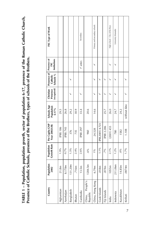TABLE 1 - Population, population growth, sector of population 6-17, presence of the Roman Catholic Church, **TABLE 1 ñ Population, population growth, sector of population 6-17, presence of the Roman Catholic Church,** Presence of Catholic Schools, presence of the Brothers, types of schools of the Brothers. **Presence of Catholic Schools, presence of the Brothers, types of schools of the Brothers.**

| Country                     | Population<br>2002 | <b>Growth Rate</b><br>Population | Per Capita GNP<br>Year 2002US\$ | Schools Age<br>Population<br>6-17% | Christian<br>(recognized)<br>Presence | Presence of<br>Schools %<br>Catholic | Presence of<br>Institutions<br>FSC | FSC Type of Work               |  |
|-----------------------------|--------------------|----------------------------------|---------------------------------|------------------------------------|---------------------------------------|--------------------------------------|------------------------------------|--------------------------------|--|
| Afghanistan                 | 21.8m              | 1.9%                             | (PIB) 186                       | 29.5                               |                                       |                                      |                                    |                                |  |
| Azerbaijan                  | 8.170m             | $0.7\%$                          | (PIB) 745                       | 26.8                               |                                       |                                      |                                    |                                |  |
| Bangladesh                  | 131.20m            | $1.5\%$                          | 376                             | 29.2                               |                                       |                                      |                                    |                                |  |
| Bhutan                      | .716m              | 2.4%                             | 735                             | 30.9                               |                                       |                                      |                                    |                                |  |
| Cambodia                    | 13.5m              | 2.6%                             | (PIB) 297                       | 33.4                               |                                       |                                      | v anter.                           | Secondary                      |  |
| China, People's<br>Republic | 1284.5m            | 6%                               | 960                             | 20.6                               |                                       |                                      |                                    |                                |  |
| China, Hong Kong            | 6.79m              | 19 <sub>o</sub>                  | 24.528                          | 14.6                               |                                       |                                      |                                    | Primary and secondary schools  |  |
| Cook Islands                | .018m              | $1.1\%$                          | $(PIB, 2001)$ 4.723             |                                    |                                       |                                      |                                    |                                |  |
| Fiji Islands                | .819m              | 7%                               | (PIB) 2.286                     | 25.7                               |                                       |                                      |                                    |                                |  |
| India                       | 1055m              | $2.1\%$                          | (2001)455                       | 26.0                               |                                       |                                      |                                    | High school - City of the Boys |  |
| Indonesia                   | 211.06m            | $1.2\%$                          | 780                             | 24.7                               |                                       |                                      |                                    | University (Manado)            |  |
| Kazakhstan                  | 14.85m             | $0\%$                            | 1582                            | 24.2                               |                                       |                                      |                                    |                                |  |
| Kiribati                    | .0874m             | $1.7\%$                          | 1.108                           | without data                       |                                       |                                      |                                    |                                |  |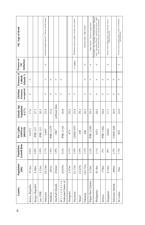| 8 | Country                           | Population<br>2002 | <b>Growth Rate</b><br>Population | Per Capita<br>GNPYear<br>2002US\$ | Schools Age<br>Population<br>$6 - 17%$ | (recognized)<br>Christian<br>Presence | Presence of<br>Schools %<br>Catholic | Presence of<br>Institutions<br>FSC | FSC Type of Work                                                                                                                                                                  |
|---|-----------------------------------|--------------------|----------------------------------|-----------------------------------|----------------------------------------|---------------------------------------|--------------------------------------|------------------------------------|-----------------------------------------------------------------------------------------------------------------------------------------------------------------------------------|
|   | Korea, Republic                   | 47.6m              | 0.6%                             | 10.075                            | 17.6                                   | ↘                                     | ↘                                    |                                    |                                                                                                                                                                                   |
|   | Kyrgyz Republic                   | 4.98m              | 0.8%                             | (PIB) 321                         | 27.5                                   |                                       |                                      |                                    |                                                                                                                                                                                   |
|   | Lao, PDR                          | 5.53m              | 2.8%                             | $(PIB)$ 331                       | 30.5                                   |                                       |                                      |                                    |                                                                                                                                                                                   |
|   | Malaysia                          | 24.53m             | $2.1\%$                          | 3.609                             | 25.4                                   | ↘                                     | ↘                                    | ↘                                  | University student (special) - Primary and Secondary                                                                                                                              |
|   | Maldives                          | 281m               | 1.6%                             | (PIB) 2.279                       | 31.6                                   |                                       |                                      |                                    |                                                                                                                                                                                   |
|   | Marshall Islands                  | 0566m              | 3.8%                             | 1867                              | without data                           | ↘                                     | ↘                                    |                                    |                                                                                                                                                                                   |
|   | Micronesia<br>Federated States of | .0107m             | $0.2\%$                          | (PIB) 2158                        | 30.8                                   |                                       | ↘                                    |                                    |                                                                                                                                                                                   |
|   | Mongolia                          | 2.47m              | $2.1\%$                          | 473                               | 29.2                                   | ↘                                     |                                      |                                    |                                                                                                                                                                                   |
|   | Myanmar                           | 52.17m             | 2.0%                             | $(2000)$ 970                      | 25.6                                   |                                       |                                      | v anter.                           | Elementary and secondary schools; now centers                                                                                                                                     |
|   | Nepal                             | 23.67m             | 2.0%                             | 240                               | 29.2                                   |                                       |                                      |                                    |                                                                                                                                                                                   |
|   | Pakistan                          | 143.71m            | $2.2\%$                          | 440                               | 30.1                                   | ↘                                     |                                      | ↘                                  | Catechist center - High schools                                                                                                                                                   |
|   | Papua New Guinea                  | 5.52m              | 3.2%                             | (PIB) 2.500                       | 29.3                                   | ↘                                     | ↘                                    |                                    | -ligh schools - Teachers' preparation                                                                                                                                             |
|   | Philippines                       | 81.8m              | $2.1\%$                          | 1033                              | 28.5                                   |                                       |                                      |                                    | Jniversities - teac. Secondary - Primary schools - Reforma-<br>tories - Agricultural schools - Professional schools - Night<br>schools - Permanent formation and special programs |
|   | Samoa                             | .178m              | 5%                               | PIB) 1566                         | 30.6                                   | ↘                                     | ↘                                    |                                    |                                                                                                                                                                                   |
|   | Singapore                         | 4.16m              | .8%                              | 20505                             | 17.1                                   | ↘                                     |                                      | ↘                                  | Primary and secondary school - First university courses -<br>School of fine arts                                                                                                  |
|   | Solomon Islands                   | .490m              | 2.9%                             | (1900)648                         | 30.9                                   | ↘                                     | ↘                                    |                                    |                                                                                                                                                                                   |
|   | Sri Lanka                         | 19m                | $1.5\%$                          | 855                               | 22.0                                   | ↘                                     |                                      | ゝ                                  | Primary and secondary school - Center of Formation<br>and Spirituality                                                                                                            |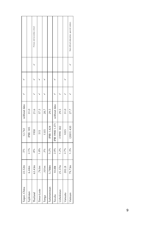| Taipei, China  | 22.52m | .5%     | 12.742           | without data |  |                                         |
|----------------|--------|---------|------------------|--------------|--|-----------------------------------------|
| Tajikistan     | 6.44m  | 2.1%    | (PIB) 185        | 31.0         |  |                                         |
| Thailand       | 63.43m | .8%     | 1958             | 21.6         |  | Primary and secondary school            |
| Timor-Leste    | .763m  | 1.8%    | 515              | 37.5         |  |                                         |
| Tonga          | .101m  | 3%      | 1335             | 28.7         |  |                                         |
| Turkmenistan   | 5.788m | 5.2%    | (PIB) 1.424      | 29.5         |  |                                         |
| Tuvalu         | 10.88t | 2.0%    | (PIB 1998) 1.371 | without data |  |                                         |
| Uzbekistan     | 25.37m | $1.2\%$ | (1999) 382       | 29.5         |  |                                         |
| <b>Vanuatu</b> | 202.2t | 2.7%    | 1035             | 31.0         |  |                                         |
| Vietnam        | 79.73m | $1.3\%$ | $(2001)$ 430     | 27.7         |  | Non official education, special centers |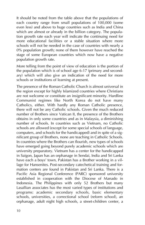It should be noted from the table above that the populations of each country range from small populations of 100,000 (some even less) and above to huge countries such as India and China which are almost or already in the billion category. The population growth rate each year will indicate the continuing need for more educational facilities or a stable situation where more schools will not be needed in the case of countries with nearly a 0% population growth; none of them however have reached the stage of some European countries which now have a negative population growth rate.

More telling from the point of view of education is the portion of the population which is of school age 6-17 (primary and secondary) which will also give an indication of the need for more schools or institutions of learning at present.

The presence of the Roman Catholic Church is almost universal in the region except for highly Islamized countries where Christians are not welcome or constitute an insignificant minority. Hardline Communist regimes like North Korea do not have many Catholics, either. With hardly any Roman Catholic presence, there will not be any Catholic schools. Given the much reduced number of Brothers since Vatican II, the presence of the Brothers obtains in only some countries and as in Malaysia, a diminishing number of schools. In countries such as Vietnam, no Catholic schools are allowed (except for some special schools of language, computers, and schools for the handicapped) and in spite of a significant group of Brothers, none are teaching in Catholic Schools. In countries where the Brothers can flourish, new types of schools have emerged going beyond purely academic schools which are university preparatory. Vietnam has a center for the handicapped in Saigon, Japan has an orphanage in Sendai, India and Sri Lanka have each a boys' town, Pakistan has a Brother working in a village for Hansenites. Post-secondary catechetical training and formation centers are found in Pakistan and Sri Lanka. There is a Pacific Asia Regional Conference (PARC) sponsored university established in cooperation with the Diocese of Manado in Indonesia. The Philippines with only 52 Brothers but many Lasallian associates has the most varied types of institutions and programs: academic secondary schools, basic elementary schools, universities, a correctional school (reform school), an orphanage, adult night high schools, a street-children center, a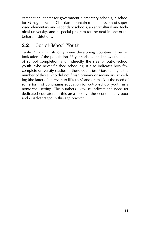catechetical center for government elementary schools, a school for Mangyans (a nonChristian mountain tribe), a system of supervised elementary and secondary schools, an agricultural and technical university, and a special program for the deaf in one of the tertiary institutions.

# 2.2. Out-of-School Youth

Table 2, which lists only some developing countries, gives an indication of the population 25 years above and shows the level of school completion and indirectly the size of out-of-school youth who never finished schooling. It also indicates how few complete university studies in these countries. More telling is the number of those who did not finish primary or secondary schooling (the latter often revert to illiteracy) and dramatizes the need of some form of continuing education for out-of-school youth in a nonformal setting. The numbers likewise indicate the need for dedicated educators in this area to serve the economically poor and disadvantaged in this age bracket.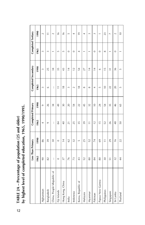|                            | Less Than Primary |                |                | Completed Primary |                 | Completed Secondary | Completed Tertiary |                |
|----------------------------|-------------------|----------------|----------------|-------------------|-----------------|---------------------|--------------------|----------------|
|                            | 1965              | 1990           | 1965           | 1990              | 1965            | 1990                | 1965               | 1990           |
| Afghanistan                | 90                | 86             | 4              | $\sigma$          | $\infty$        | $\infty$            | $\sim$             | 2              |
| Bangladesh                 | 82                | 39             | $\mathfrak{S}$ | 26                | $\circ$         | 25                  | $\sim$             | $\overline{1}$ |
| China, People'sRepublic of | $\vdots$          | $30\,$         | $\vdots$       | 34                | $\vdots$        | 34                  |                    | $\sim$         |
| Fiji Islands               | $\circ$           | $\circ$        | $\overline{a}$ | $\overline{49}$   | $\overline{1}$  | 35                  | $\sqrt{2}$         | $\frac{6}{2}$  |
| Hong Kong, China           | 37                | $\frac{1}{4}$  | $\frac{1}{4}$  | $30\,$            | $\frac{8}{16}$  | 43                  | $\sqrt{2}$         | $\frac{6}{2}$  |
| India                      | 76                | 62             | $\overline{z}$ | 20                | $\sim$          | $\frac{4}{4}$       | $\circ$            | 5              |
| Indonesia                  | 73                | 32             | 25             | 54                | $\sim$          | $\overline{12}$     | $\circ$            | 4              |
| Korea, Republic of         | 43                | $\overline{5}$ | 35             | 22                | $\frac{8}{10}$  | 54                  | 4                  | $\frac{1}{2}$  |
| Malaysia                   | 52                | 25             | 39             | 45                | $\infty$        | 27                  |                    | 4              |
| Myanmar                    | 80                | 52             | $\equiv$       | 32                | $\infty$        | $\frac{4}{1}$       |                    | 3              |
| Pakistan                   | 84                | $\overline{7}$ | $\overline{1}$ | $\overline{a}$    | 4               | $\overline{4}$      | $\circ$            | 3              |
| Papua New Guinea           | 80                | 69             | $\overline{1}$ | 24                | LO.             | $\circ$             | $\circ$            |                |
| Philippines                | $30\,$            | $\equiv$       | 52             | 54                | $\approx$       | $\frac{5}{1}$       | $\infty$           | 23             |
| Singapore                  | 5                 | 29             | 26             | 35                | 22              | $\overline{5}$      |                    | $\overline{ }$ |
| Sri Lanka                  | 32                | $\frac{6}{2}$  | 48             | 46                | $\overline{20}$ | 36                  | $\circ$            | $\sim$         |
| Thailand                   | $rac{4}{4}$       | 22             | 50             | 59                | $\overline{5}$  | $\overline{5}$      |                    | $\frac{1}{2}$  |

TABLE 2A – Percentage of population (25 and older)<br>by highest level of completed education, 1965, 1990/1995. **by highest level of completed education, 1965, 1990/1995.TABLE 2A ñ Percentage of population (25 and older)**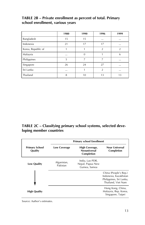### TABLE 2B - Private enrollment as percent of total. Primary **school enrollment, various years**

|                    | 1980     | 1990     | 1996           | 1999           |
|--------------------|----------|----------|----------------|----------------|
| Bangladesh         | 15       | 15       | $\cdots$       | $\cdots$       |
| Indonesia          | 21       | 17       | 17             | $\cdots$       |
| Korea, Republic of |          |          | $\overline{2}$ | $\overline{2}$ |
| Malaysia           | $\cdots$ | $\theta$ |                | 6              |
| Philippines        | 5        | 7        | 7              | $\cdots$       |
| Singapore          | 26       | 24       | 27             | $\cdots$       |
| Sri Lanka          | $\cdots$ |          | $\overline{2}$ | $\cdots$       |
| Thailand           | 8        | 10       | 13             | 13             |

## TABLE 2C - Classifying primary school systems, selected deve**loping member countries**

|                                  |                         | <b>Primary school Enrollment</b>                     |                                                                                                 |
|----------------------------------|-------------------------|------------------------------------------------------|-------------------------------------------------------------------------------------------------|
| <b>Primary School</b><br>Quality | <b>Low Coverage</b>     | High Coverage,<br><b>Neouniversal</b><br>Completion  | <b>Near Universal</b><br>Completion                                                             |
| <b>Low Quality</b>               | Afganistan,<br>Pakistan | India, Lao PDR,<br>Nepal, Papua New<br>Guinea, Samoa |                                                                                                 |
|                                  |                         |                                                      | China (People's Rep.)<br>Indonesia, Kazakhstan<br>Philippines, Sri Lanka,<br>Thailand, Viet Nam |
| <b>High Quality</b>              |                         |                                                      | Hong Kong, China,<br>Malaysia, Rep. Korea,<br>Singapore, Taipei                                 |

Source: Author's estimates.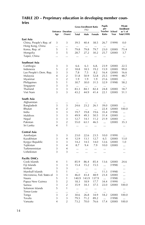## TABLE 2D - Preprimary education in developing member coun**tries**

|                            |                |                                     |              | <b>Gross Enrollment Ratio</b><br>(%) |              | Pupils<br>per           |        | Private<br><b>Enrollment</b>   |
|----------------------------|----------------|-------------------------------------|--------------|--------------------------------------|--------------|-------------------------|--------|--------------------------------|
|                            | Age            | <b>Entrance Duration</b><br>(Years) | <b>Total</b> | Male                                 | Female       | Teacher School<br>Ratio | Year   | as % of<br><b>Total (1999)</b> |
| East Asia                  |                |                                     |              |                                      |              |                         |        |                                |
| China, People's Rep. of    | 3              | 3                                   | 39.5         | 40.4                                 | 38.5         | 26.7                    | (1999) | 0.0                            |
| Hong Kong, China           |                |                                     | $\cdots$     | $\ddotsc$                            | $\ddotsc$    | $\ddotsc$               |        |                                |
| Korea, Rep. of             | 5              | 1                                   | 79.8         | 79.8                                 | 79.7         | 23.0                    | (2000) | 75.4                           |
| Mongolia                   | 3              | 5                                   | 28.7         | 27.2                                 | 30.2         | 25.7                    | (2000) | 3.7                            |
| Taipei, China              |                |                                     | $\ldots$     |                                      |              |                         |        |                                |
| Southeast Asia             |                |                                     |              |                                      |              |                         |        |                                |
| Cambogia                   | 3              | 3                                   | 6.6          | 6.3                                  | 6.8.         | 23.9                    | (2000) | 22.5                           |
| Indonesia                  | 5              | $\overline{2}$                      | 18.8         | 18.5                                 | 19.2         | 15.9                    | (2000) | 99.0                           |
| Lao People's Dem. Rep.     | 3              | 3                                   | 7.8          | 7.5                                  | 8.2          | 16.4                    | (2000) | 16.6                           |
| Malaysia                   | $\overline{4}$ | $\overline{2}$                      | 51.8         | 50.9                                 | 52.8         | 25.5                    | (1999) | 48.7                           |
| Myanmar                    | 3              | $\overline{2}$                      | 1.9          | 1.9                                  | 1.9          | 21.6                    | (2000) | $\cdots$                       |
| Philippines                | 5              | 1                                   | 30.7         | 30.0                                 | 31.5         | 32.9                    | (1998) | 58.2                           |
| Singapore                  | 3              | 3                                   | $\cdots$     | $\ddotsc$                            |              |                         |        |                                |
| Thailand                   | 3              | 3                                   | 83.3         | 84.1                                 | 82.4         | 24.8                    | (2000) | 18.7                           |
| Viet Nam                   | 3              | 3                                   | 43.2         | 44.9                                 | 41.4         | 22.1                    | (2000) | 51.1                           |
| South Asia                 |                |                                     |              |                                      |              |                         |        |                                |
|                            |                |                                     |              |                                      |              |                         |        |                                |
| Afghanistan                | <br>3          | <br>3                               | $\ldots$     | $\ldots$                             | $\cdots$     |                         |        |                                |
| Bangladesh                 | $\overline{4}$ | $\overline{2}$                      | 24.6         | 23.2                                 | 26.1         | 39.0                    | (2000) | $\ddotsc$                      |
| Bhutan                     | 3              | 3                                   | $\cdots$     |                                      | $\cdots$     | 22.4                    | (2000) | 100.0                          |
| India                      | 3              | 3                                   | 19.7         | 19.8                                 | 19.6         | 35.4                    | (1998) |                                |
| Maldives                   | 3              | 3                                   | 49.9         | 49.3                                 | 50.5<br>11.2 | 31.4<br>21.9            | (2000) |                                |
| Nepal                      | 3              | $\overline{2}$                      | 12.7         | 14.1                                 |              |                         | (2000) | $\cdots$                       |
| Pakistan<br>Sri Lanka      | $\overline{4}$ | 1                                   | 55.0         | 63.1                                 | 46.5         | $\ddotsc$               | (2000) | 35.3                           |
|                            |                |                                     | $\cdots$     | $\cdots$                             | $\cdots$     |                         |        |                                |
| Central Asia               |                |                                     |              |                                      |              |                         |        |                                |
| Azerbaijan                 | 3              | 3                                   | 23.0         | 22.6                                 | 23.5         | 10.0                    | (1999) | $\cdots$                       |
| Kazakhstan                 | 3              | $\overline{4}$                      | 12.9         | 13.1                                 | 12.7         | 6.5                     | (2000) | 13.0                           |
| Kyrgyz Republic            | 3              | 3                                   | 14.2         | 14.5                                 | 14.0         | 12.6                    | (2000) | 1.0                            |
| Tajikistan                 | 3              | $\overline{4}$                      | 8.7          | 9.4                                  | 7.9          | 10.0                    | (2000) |                                |
| Turkmennistan              | 3              | $\overline{4}$                      |              | $\cdots$                             |              |                         |        |                                |
| Uzbekistan                 | 3              | 3                                   | $\ldots$     | $\cdots$                             |              |                         |        |                                |
| Pacific DMCs               |                |                                     |              |                                      |              |                         |        |                                |
| Cook Islands               | 4              | 1                                   | 85.9         | 86.4                                 | 85.4         | 13.6                    | (2000) | 24.6                           |
| Fiji Islands               | 3              | 3                                   | 15.4         | 15.2                                 | 15.5         | $\ddotsc$               | (1998) |                                |
| Kiribati                   | 3              | 3                                   |              |                                      |              |                         |        |                                |
| Marshall Islands           | 5              | 1                                   | $\ddotsc$    |                                      |              | 11.3                    | (1998) |                                |
| Micronesia, Fed. States of | 3              | 3                                   | 46.0         | 43.4                                 | 48.9         | 23.4                    | (2000) |                                |
| Nauru                      | 5              | 1                                   | 140.9        | 143.9                                | 137.9        |                         | (1998) |                                |
| Papua New Guinea           | 5              | $\overline{2}$                      | 18.3         | 18.9                                 | 17.7         | 34.4                    | (1999) |                                |
| Samoa                      | 3              | $\overline{2}$                      | 35.9         | 34.3                                 | 37.5         | 22.0                    | (2000) | 100.0                          |
| Solomon Islands            | 5              | 1                                   |              |                                      |              | $\cdots$                |        |                                |
| Timor-Leste                |                | $\ddotsc$                           | $\cdots$     | $\cdots$                             | $\ddotsc$    |                         |        |                                |
| Tonga                      | 3              | $\overline{2}$                      | 30.6         | 26.8                                 | 34.9         | 18.2                    | (2000) | 100.0                          |
| Tovalu                     | 3              | 3                                   | 79.5         | 71.2                                 | 89.2         |                         | (1998) | $\ddotsc$                      |
| Vanuatu                    | 4              | $\overline{2}$                      | 73.2         | 70.0                                 | 76.6         | 17.4                    | (2000) | 100.0                          |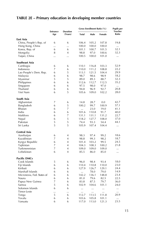## TABLE 2E - Primary education in developing member countries

| Ratio<br>(Years)<br>Male<br>Age<br><b>Total</b><br>Female<br>East Asia<br>19.8<br>China, People's Rep. of<br>6<br>6<br>106.4<br>105.2<br>107.8<br>Hong Kong, China<br>100.0<br>100.0<br>100.0<br><br><br>$\cdots$<br>Korea, Rep. of<br>6<br>6<br>101.1<br>100.7<br>101.5<br>32.1<br>32.3<br>Mongolia<br>8<br>$\overline{4}$<br>97.0<br>100.6<br>98.8<br>Taipei, China<br>100.5<br>100.0<br>101.0<br><br><br><br>Southeast Asia<br>52.9<br>Cambogia<br>6<br>6<br>110.1<br>116.8<br>103.3<br>7<br>Indonesia<br>6<br>110.0<br>111.2<br>108.8<br>22.2<br>5<br>6<br>29.9<br>Lao People's Dem. Rep.<br>113.1<br>121.5<br>104.4<br>6<br>18.2<br>6<br>98.7<br>98.6<br>98.9<br>Malaysia<br>5<br>5<br>89.0<br>89.3<br>88.7<br>32.3<br>Myanmar<br>6<br>6<br>35.2<br>Philippines<br>112.6<br>112.7<br>112.5<br>6<br>6<br>97.5<br>98.0<br>97.0<br>Singapore<br>$\cdots$<br>Thailand<br>6<br>92.7<br>20.8<br>6<br>94.8<br>96.9<br>5<br>28.0<br>Viet Nam<br>6<br>105.6<br>109.0<br>102.2<br>South Asia<br>7<br>42.7<br>Afghanistan<br>6<br>14.8<br>28.7<br>0.0<br>5<br>57.1<br>Bangladesh<br>6<br>100.2<br>99.7<br>100.9<br>Bhutan<br>7<br>6<br>23.0<br>19.0<br>41.1<br>$\ddotsc$<br>6<br>India<br>6<br>101.6<br>110.8<br>91.7<br>40.0<br>7<br>Maldives<br>6<br>22.7<br>131.1<br>131.1<br>131.2<br>5<br>6<br>127.7<br>37.0<br>Nepal<br>118.2<br>108.0<br>5<br>5<br>Pakistan<br>74.4<br>93.3<br>54.4<br>44.1<br>5<br>5<br>Sri Lanka<br>105.9<br>107.4<br>104.4<br><br>Central Asia<br>18.6<br>Azerbaijan<br>6<br>$\overline{4}$<br>98.3<br>97.4<br>99.2<br>7<br>18.7<br>Kazakhstan<br>$\overline{4}$<br>98.8<br>99.3<br>98.2<br>6<br>24.5<br>4<br>103.2<br>99.5<br>Kyrgyz Republic<br>101.4<br>Tajikistan<br>7<br>$\overline{4}$<br>104.3<br>108.3<br>100.2<br>21.8<br>$\overline{7}$<br>Turkmennistan<br>4<br>109.0<br>109.0<br>109.0<br><br>6<br>Uzbekistan<br>$\overline{4}$<br>85.5<br>86.0<br>85.0<br><br><b>Pacific DMCs</b><br>Cook Islands<br>5<br>6<br>93.4<br>18.0<br>96.0<br>98.4<br>6<br>Fiji Islands<br>6<br>110.4<br>110.8<br>110.0<br>23.0<br>6<br>6<br>24.4<br>Kiribati<br>127.9<br>126.7<br>129.1<br>14.9<br>Marshall Islands<br>6<br>6<br>78.0<br>79.0<br>$\ddotsc$<br>23.4<br>Micronesia, Fed. States of<br>6<br>6<br>142.2<br>136.1<br>148.8<br>Nauru<br>6<br>6<br>79.6<br>82.5<br>22.5<br>81.0<br>7<br>6<br>Papua New Guinea<br>87.5<br>79.7<br>36.0<br>83.8<br>5<br>6<br>24.0<br>Samoa<br>102.9<br>104.6<br>101.1<br>Solomon Islands<br>6<br>6<br><br><br><br>$\cdots$<br>Timor-Leste<br><br><br><br>$\ldots$<br><br>$\ldots$<br>5<br>6<br>112.7<br>113.5<br>111.8<br>20.9<br>Tonga<br>6<br>Tovalu<br>6<br>103.6<br>105.8<br>101.1<br>$\cdots$<br>6<br>6<br>23.5<br>Vanuatu<br>117.0<br>113.0<br>121.3 |                 |                 | Gross Enrollment Ratio (%) | <b>Pupils per</b><br>Teacher |
|--------------------------------------------------------------------------------------------------------------------------------------------------------------------------------------------------------------------------------------------------------------------------------------------------------------------------------------------------------------------------------------------------------------------------------------------------------------------------------------------------------------------------------------------------------------------------------------------------------------------------------------------------------------------------------------------------------------------------------------------------------------------------------------------------------------------------------------------------------------------------------------------------------------------------------------------------------------------------------------------------------------------------------------------------------------------------------------------------------------------------------------------------------------------------------------------------------------------------------------------------------------------------------------------------------------------------------------------------------------------------------------------------------------------------------------------------------------------------------------------------------------------------------------------------------------------------------------------------------------------------------------------------------------------------------------------------------------------------------------------------------------------------------------------------------------------------------------------------------------------------------------------------------------------------------------------------------------------------------------------------------------------------------------------------------------------------------------------------------------------------------------------------------------------------------------------------------------------------------------------------------------------------------------------------------------------------------------------------------------------------------------------------------------------------------------------------------------------------------------------------------------------------------------------------------------------------------------------------------------------------------------------------------------------------------------------------------------|-----------------|-----------------|----------------------------|------------------------------|
|                                                                                                                                                                                                                                                                                                                                                                                                                                                                                                                                                                                                                                                                                                                                                                                                                                                                                                                                                                                                                                                                                                                                                                                                                                                                                                                                                                                                                                                                                                                                                                                                                                                                                                                                                                                                                                                                                                                                                                                                                                                                                                                                                                                                                                                                                                                                                                                                                                                                                                                                                                                                                                                                                                              | <b>Entrance</b> | <b>Duration</b> |                            |                              |
|                                                                                                                                                                                                                                                                                                                                                                                                                                                                                                                                                                                                                                                                                                                                                                                                                                                                                                                                                                                                                                                                                                                                                                                                                                                                                                                                                                                                                                                                                                                                                                                                                                                                                                                                                                                                                                                                                                                                                                                                                                                                                                                                                                                                                                                                                                                                                                                                                                                                                                                                                                                                                                                                                                              |                 |                 |                            |                              |
|                                                                                                                                                                                                                                                                                                                                                                                                                                                                                                                                                                                                                                                                                                                                                                                                                                                                                                                                                                                                                                                                                                                                                                                                                                                                                                                                                                                                                                                                                                                                                                                                                                                                                                                                                                                                                                                                                                                                                                                                                                                                                                                                                                                                                                                                                                                                                                                                                                                                                                                                                                                                                                                                                                              |                 |                 |                            |                              |
|                                                                                                                                                                                                                                                                                                                                                                                                                                                                                                                                                                                                                                                                                                                                                                                                                                                                                                                                                                                                                                                                                                                                                                                                                                                                                                                                                                                                                                                                                                                                                                                                                                                                                                                                                                                                                                                                                                                                                                                                                                                                                                                                                                                                                                                                                                                                                                                                                                                                                                                                                                                                                                                                                                              |                 |                 |                            |                              |
|                                                                                                                                                                                                                                                                                                                                                                                                                                                                                                                                                                                                                                                                                                                                                                                                                                                                                                                                                                                                                                                                                                                                                                                                                                                                                                                                                                                                                                                                                                                                                                                                                                                                                                                                                                                                                                                                                                                                                                                                                                                                                                                                                                                                                                                                                                                                                                                                                                                                                                                                                                                                                                                                                                              |                 |                 |                            |                              |
|                                                                                                                                                                                                                                                                                                                                                                                                                                                                                                                                                                                                                                                                                                                                                                                                                                                                                                                                                                                                                                                                                                                                                                                                                                                                                                                                                                                                                                                                                                                                                                                                                                                                                                                                                                                                                                                                                                                                                                                                                                                                                                                                                                                                                                                                                                                                                                                                                                                                                                                                                                                                                                                                                                              |                 |                 |                            |                              |
|                                                                                                                                                                                                                                                                                                                                                                                                                                                                                                                                                                                                                                                                                                                                                                                                                                                                                                                                                                                                                                                                                                                                                                                                                                                                                                                                                                                                                                                                                                                                                                                                                                                                                                                                                                                                                                                                                                                                                                                                                                                                                                                                                                                                                                                                                                                                                                                                                                                                                                                                                                                                                                                                                                              |                 |                 |                            |                              |
|                                                                                                                                                                                                                                                                                                                                                                                                                                                                                                                                                                                                                                                                                                                                                                                                                                                                                                                                                                                                                                                                                                                                                                                                                                                                                                                                                                                                                                                                                                                                                                                                                                                                                                                                                                                                                                                                                                                                                                                                                                                                                                                                                                                                                                                                                                                                                                                                                                                                                                                                                                                                                                                                                                              |                 |                 |                            |                              |
|                                                                                                                                                                                                                                                                                                                                                                                                                                                                                                                                                                                                                                                                                                                                                                                                                                                                                                                                                                                                                                                                                                                                                                                                                                                                                                                                                                                                                                                                                                                                                                                                                                                                                                                                                                                                                                                                                                                                                                                                                                                                                                                                                                                                                                                                                                                                                                                                                                                                                                                                                                                                                                                                                                              |                 |                 |                            |                              |
|                                                                                                                                                                                                                                                                                                                                                                                                                                                                                                                                                                                                                                                                                                                                                                                                                                                                                                                                                                                                                                                                                                                                                                                                                                                                                                                                                                                                                                                                                                                                                                                                                                                                                                                                                                                                                                                                                                                                                                                                                                                                                                                                                                                                                                                                                                                                                                                                                                                                                                                                                                                                                                                                                                              |                 |                 |                            |                              |
|                                                                                                                                                                                                                                                                                                                                                                                                                                                                                                                                                                                                                                                                                                                                                                                                                                                                                                                                                                                                                                                                                                                                                                                                                                                                                                                                                                                                                                                                                                                                                                                                                                                                                                                                                                                                                                                                                                                                                                                                                                                                                                                                                                                                                                                                                                                                                                                                                                                                                                                                                                                                                                                                                                              |                 |                 |                            |                              |
|                                                                                                                                                                                                                                                                                                                                                                                                                                                                                                                                                                                                                                                                                                                                                                                                                                                                                                                                                                                                                                                                                                                                                                                                                                                                                                                                                                                                                                                                                                                                                                                                                                                                                                                                                                                                                                                                                                                                                                                                                                                                                                                                                                                                                                                                                                                                                                                                                                                                                                                                                                                                                                                                                                              |                 |                 |                            |                              |
|                                                                                                                                                                                                                                                                                                                                                                                                                                                                                                                                                                                                                                                                                                                                                                                                                                                                                                                                                                                                                                                                                                                                                                                                                                                                                                                                                                                                                                                                                                                                                                                                                                                                                                                                                                                                                                                                                                                                                                                                                                                                                                                                                                                                                                                                                                                                                                                                                                                                                                                                                                                                                                                                                                              |                 |                 |                            |                              |
|                                                                                                                                                                                                                                                                                                                                                                                                                                                                                                                                                                                                                                                                                                                                                                                                                                                                                                                                                                                                                                                                                                                                                                                                                                                                                                                                                                                                                                                                                                                                                                                                                                                                                                                                                                                                                                                                                                                                                                                                                                                                                                                                                                                                                                                                                                                                                                                                                                                                                                                                                                                                                                                                                                              |                 |                 |                            |                              |
|                                                                                                                                                                                                                                                                                                                                                                                                                                                                                                                                                                                                                                                                                                                                                                                                                                                                                                                                                                                                                                                                                                                                                                                                                                                                                                                                                                                                                                                                                                                                                                                                                                                                                                                                                                                                                                                                                                                                                                                                                                                                                                                                                                                                                                                                                                                                                                                                                                                                                                                                                                                                                                                                                                              |                 |                 |                            |                              |
|                                                                                                                                                                                                                                                                                                                                                                                                                                                                                                                                                                                                                                                                                                                                                                                                                                                                                                                                                                                                                                                                                                                                                                                                                                                                                                                                                                                                                                                                                                                                                                                                                                                                                                                                                                                                                                                                                                                                                                                                                                                                                                                                                                                                                                                                                                                                                                                                                                                                                                                                                                                                                                                                                                              |                 |                 |                            |                              |
|                                                                                                                                                                                                                                                                                                                                                                                                                                                                                                                                                                                                                                                                                                                                                                                                                                                                                                                                                                                                                                                                                                                                                                                                                                                                                                                                                                                                                                                                                                                                                                                                                                                                                                                                                                                                                                                                                                                                                                                                                                                                                                                                                                                                                                                                                                                                                                                                                                                                                                                                                                                                                                                                                                              |                 |                 |                            |                              |
|                                                                                                                                                                                                                                                                                                                                                                                                                                                                                                                                                                                                                                                                                                                                                                                                                                                                                                                                                                                                                                                                                                                                                                                                                                                                                                                                                                                                                                                                                                                                                                                                                                                                                                                                                                                                                                                                                                                                                                                                                                                                                                                                                                                                                                                                                                                                                                                                                                                                                                                                                                                                                                                                                                              |                 |                 |                            |                              |
|                                                                                                                                                                                                                                                                                                                                                                                                                                                                                                                                                                                                                                                                                                                                                                                                                                                                                                                                                                                                                                                                                                                                                                                                                                                                                                                                                                                                                                                                                                                                                                                                                                                                                                                                                                                                                                                                                                                                                                                                                                                                                                                                                                                                                                                                                                                                                                                                                                                                                                                                                                                                                                                                                                              |                 |                 |                            |                              |
|                                                                                                                                                                                                                                                                                                                                                                                                                                                                                                                                                                                                                                                                                                                                                                                                                                                                                                                                                                                                                                                                                                                                                                                                                                                                                                                                                                                                                                                                                                                                                                                                                                                                                                                                                                                                                                                                                                                                                                                                                                                                                                                                                                                                                                                                                                                                                                                                                                                                                                                                                                                                                                                                                                              |                 |                 |                            |                              |
|                                                                                                                                                                                                                                                                                                                                                                                                                                                                                                                                                                                                                                                                                                                                                                                                                                                                                                                                                                                                                                                                                                                                                                                                                                                                                                                                                                                                                                                                                                                                                                                                                                                                                                                                                                                                                                                                                                                                                                                                                                                                                                                                                                                                                                                                                                                                                                                                                                                                                                                                                                                                                                                                                                              |                 |                 |                            |                              |
|                                                                                                                                                                                                                                                                                                                                                                                                                                                                                                                                                                                                                                                                                                                                                                                                                                                                                                                                                                                                                                                                                                                                                                                                                                                                                                                                                                                                                                                                                                                                                                                                                                                                                                                                                                                                                                                                                                                                                                                                                                                                                                                                                                                                                                                                                                                                                                                                                                                                                                                                                                                                                                                                                                              |                 |                 |                            |                              |
|                                                                                                                                                                                                                                                                                                                                                                                                                                                                                                                                                                                                                                                                                                                                                                                                                                                                                                                                                                                                                                                                                                                                                                                                                                                                                                                                                                                                                                                                                                                                                                                                                                                                                                                                                                                                                                                                                                                                                                                                                                                                                                                                                                                                                                                                                                                                                                                                                                                                                                                                                                                                                                                                                                              |                 |                 |                            |                              |
|                                                                                                                                                                                                                                                                                                                                                                                                                                                                                                                                                                                                                                                                                                                                                                                                                                                                                                                                                                                                                                                                                                                                                                                                                                                                                                                                                                                                                                                                                                                                                                                                                                                                                                                                                                                                                                                                                                                                                                                                                                                                                                                                                                                                                                                                                                                                                                                                                                                                                                                                                                                                                                                                                                              |                 |                 |                            |                              |
|                                                                                                                                                                                                                                                                                                                                                                                                                                                                                                                                                                                                                                                                                                                                                                                                                                                                                                                                                                                                                                                                                                                                                                                                                                                                                                                                                                                                                                                                                                                                                                                                                                                                                                                                                                                                                                                                                                                                                                                                                                                                                                                                                                                                                                                                                                                                                                                                                                                                                                                                                                                                                                                                                                              |                 |                 |                            |                              |
|                                                                                                                                                                                                                                                                                                                                                                                                                                                                                                                                                                                                                                                                                                                                                                                                                                                                                                                                                                                                                                                                                                                                                                                                                                                                                                                                                                                                                                                                                                                                                                                                                                                                                                                                                                                                                                                                                                                                                                                                                                                                                                                                                                                                                                                                                                                                                                                                                                                                                                                                                                                                                                                                                                              |                 |                 |                            |                              |
|                                                                                                                                                                                                                                                                                                                                                                                                                                                                                                                                                                                                                                                                                                                                                                                                                                                                                                                                                                                                                                                                                                                                                                                                                                                                                                                                                                                                                                                                                                                                                                                                                                                                                                                                                                                                                                                                                                                                                                                                                                                                                                                                                                                                                                                                                                                                                                                                                                                                                                                                                                                                                                                                                                              |                 |                 |                            |                              |
|                                                                                                                                                                                                                                                                                                                                                                                                                                                                                                                                                                                                                                                                                                                                                                                                                                                                                                                                                                                                                                                                                                                                                                                                                                                                                                                                                                                                                                                                                                                                                                                                                                                                                                                                                                                                                                                                                                                                                                                                                                                                                                                                                                                                                                                                                                                                                                                                                                                                                                                                                                                                                                                                                                              |                 |                 |                            |                              |
|                                                                                                                                                                                                                                                                                                                                                                                                                                                                                                                                                                                                                                                                                                                                                                                                                                                                                                                                                                                                                                                                                                                                                                                                                                                                                                                                                                                                                                                                                                                                                                                                                                                                                                                                                                                                                                                                                                                                                                                                                                                                                                                                                                                                                                                                                                                                                                                                                                                                                                                                                                                                                                                                                                              |                 |                 |                            |                              |
|                                                                                                                                                                                                                                                                                                                                                                                                                                                                                                                                                                                                                                                                                                                                                                                                                                                                                                                                                                                                                                                                                                                                                                                                                                                                                                                                                                                                                                                                                                                                                                                                                                                                                                                                                                                                                                                                                                                                                                                                                                                                                                                                                                                                                                                                                                                                                                                                                                                                                                                                                                                                                                                                                                              |                 |                 |                            |                              |
|                                                                                                                                                                                                                                                                                                                                                                                                                                                                                                                                                                                                                                                                                                                                                                                                                                                                                                                                                                                                                                                                                                                                                                                                                                                                                                                                                                                                                                                                                                                                                                                                                                                                                                                                                                                                                                                                                                                                                                                                                                                                                                                                                                                                                                                                                                                                                                                                                                                                                                                                                                                                                                                                                                              |                 |                 |                            |                              |
|                                                                                                                                                                                                                                                                                                                                                                                                                                                                                                                                                                                                                                                                                                                                                                                                                                                                                                                                                                                                                                                                                                                                                                                                                                                                                                                                                                                                                                                                                                                                                                                                                                                                                                                                                                                                                                                                                                                                                                                                                                                                                                                                                                                                                                                                                                                                                                                                                                                                                                                                                                                                                                                                                                              |                 |                 |                            |                              |
|                                                                                                                                                                                                                                                                                                                                                                                                                                                                                                                                                                                                                                                                                                                                                                                                                                                                                                                                                                                                                                                                                                                                                                                                                                                                                                                                                                                                                                                                                                                                                                                                                                                                                                                                                                                                                                                                                                                                                                                                                                                                                                                                                                                                                                                                                                                                                                                                                                                                                                                                                                                                                                                                                                              |                 |                 |                            |                              |
|                                                                                                                                                                                                                                                                                                                                                                                                                                                                                                                                                                                                                                                                                                                                                                                                                                                                                                                                                                                                                                                                                                                                                                                                                                                                                                                                                                                                                                                                                                                                                                                                                                                                                                                                                                                                                                                                                                                                                                                                                                                                                                                                                                                                                                                                                                                                                                                                                                                                                                                                                                                                                                                                                                              |                 |                 |                            |                              |
|                                                                                                                                                                                                                                                                                                                                                                                                                                                                                                                                                                                                                                                                                                                                                                                                                                                                                                                                                                                                                                                                                                                                                                                                                                                                                                                                                                                                                                                                                                                                                                                                                                                                                                                                                                                                                                                                                                                                                                                                                                                                                                                                                                                                                                                                                                                                                                                                                                                                                                                                                                                                                                                                                                              |                 |                 |                            |                              |
|                                                                                                                                                                                                                                                                                                                                                                                                                                                                                                                                                                                                                                                                                                                                                                                                                                                                                                                                                                                                                                                                                                                                                                                                                                                                                                                                                                                                                                                                                                                                                                                                                                                                                                                                                                                                                                                                                                                                                                                                                                                                                                                                                                                                                                                                                                                                                                                                                                                                                                                                                                                                                                                                                                              |                 |                 |                            |                              |
|                                                                                                                                                                                                                                                                                                                                                                                                                                                                                                                                                                                                                                                                                                                                                                                                                                                                                                                                                                                                                                                                                                                                                                                                                                                                                                                                                                                                                                                                                                                                                                                                                                                                                                                                                                                                                                                                                                                                                                                                                                                                                                                                                                                                                                                                                                                                                                                                                                                                                                                                                                                                                                                                                                              |                 |                 |                            |                              |
|                                                                                                                                                                                                                                                                                                                                                                                                                                                                                                                                                                                                                                                                                                                                                                                                                                                                                                                                                                                                                                                                                                                                                                                                                                                                                                                                                                                                                                                                                                                                                                                                                                                                                                                                                                                                                                                                                                                                                                                                                                                                                                                                                                                                                                                                                                                                                                                                                                                                                                                                                                                                                                                                                                              |                 |                 |                            |                              |
|                                                                                                                                                                                                                                                                                                                                                                                                                                                                                                                                                                                                                                                                                                                                                                                                                                                                                                                                                                                                                                                                                                                                                                                                                                                                                                                                                                                                                                                                                                                                                                                                                                                                                                                                                                                                                                                                                                                                                                                                                                                                                                                                                                                                                                                                                                                                                                                                                                                                                                                                                                                                                                                                                                              |                 |                 |                            |                              |
|                                                                                                                                                                                                                                                                                                                                                                                                                                                                                                                                                                                                                                                                                                                                                                                                                                                                                                                                                                                                                                                                                                                                                                                                                                                                                                                                                                                                                                                                                                                                                                                                                                                                                                                                                                                                                                                                                                                                                                                                                                                                                                                                                                                                                                                                                                                                                                                                                                                                                                                                                                                                                                                                                                              |                 |                 |                            |                              |
|                                                                                                                                                                                                                                                                                                                                                                                                                                                                                                                                                                                                                                                                                                                                                                                                                                                                                                                                                                                                                                                                                                                                                                                                                                                                                                                                                                                                                                                                                                                                                                                                                                                                                                                                                                                                                                                                                                                                                                                                                                                                                                                                                                                                                                                                                                                                                                                                                                                                                                                                                                                                                                                                                                              |                 |                 |                            |                              |
|                                                                                                                                                                                                                                                                                                                                                                                                                                                                                                                                                                                                                                                                                                                                                                                                                                                                                                                                                                                                                                                                                                                                                                                                                                                                                                                                                                                                                                                                                                                                                                                                                                                                                                                                                                                                                                                                                                                                                                                                                                                                                                                                                                                                                                                                                                                                                                                                                                                                                                                                                                                                                                                                                                              |                 |                 |                            |                              |
|                                                                                                                                                                                                                                                                                                                                                                                                                                                                                                                                                                                                                                                                                                                                                                                                                                                                                                                                                                                                                                                                                                                                                                                                                                                                                                                                                                                                                                                                                                                                                                                                                                                                                                                                                                                                                                                                                                                                                                                                                                                                                                                                                                                                                                                                                                                                                                                                                                                                                                                                                                                                                                                                                                              |                 |                 |                            |                              |
|                                                                                                                                                                                                                                                                                                                                                                                                                                                                                                                                                                                                                                                                                                                                                                                                                                                                                                                                                                                                                                                                                                                                                                                                                                                                                                                                                                                                                                                                                                                                                                                                                                                                                                                                                                                                                                                                                                                                                                                                                                                                                                                                                                                                                                                                                                                                                                                                                                                                                                                                                                                                                                                                                                              |                 |                 |                            |                              |
|                                                                                                                                                                                                                                                                                                                                                                                                                                                                                                                                                                                                                                                                                                                                                                                                                                                                                                                                                                                                                                                                                                                                                                                                                                                                                                                                                                                                                                                                                                                                                                                                                                                                                                                                                                                                                                                                                                                                                                                                                                                                                                                                                                                                                                                                                                                                                                                                                                                                                                                                                                                                                                                                                                              |                 |                 |                            |                              |
|                                                                                                                                                                                                                                                                                                                                                                                                                                                                                                                                                                                                                                                                                                                                                                                                                                                                                                                                                                                                                                                                                                                                                                                                                                                                                                                                                                                                                                                                                                                                                                                                                                                                                                                                                                                                                                                                                                                                                                                                                                                                                                                                                                                                                                                                                                                                                                                                                                                                                                                                                                                                                                                                                                              |                 |                 |                            |                              |
|                                                                                                                                                                                                                                                                                                                                                                                                                                                                                                                                                                                                                                                                                                                                                                                                                                                                                                                                                                                                                                                                                                                                                                                                                                                                                                                                                                                                                                                                                                                                                                                                                                                                                                                                                                                                                                                                                                                                                                                                                                                                                                                                                                                                                                                                                                                                                                                                                                                                                                                                                                                                                                                                                                              |                 |                 |                            |                              |
|                                                                                                                                                                                                                                                                                                                                                                                                                                                                                                                                                                                                                                                                                                                                                                                                                                                                                                                                                                                                                                                                                                                                                                                                                                                                                                                                                                                                                                                                                                                                                                                                                                                                                                                                                                                                                                                                                                                                                                                                                                                                                                                                                                                                                                                                                                                                                                                                                                                                                                                                                                                                                                                                                                              |                 |                 |                            |                              |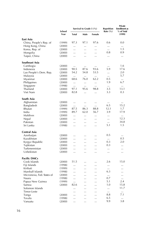|                            | School |              | Survival to Grade 5 (%) |           | <b>Repetition</b><br>Rate $(\% )$ | Private<br><b>Enrollment</b> as<br>% of Total |
|----------------------------|--------|--------------|-------------------------|-----------|-----------------------------------|-----------------------------------------------|
|                            | Year   | <b>Total</b> | Male                    | Female    |                                   | (1999)                                        |
| East Asia                  |        |              |                         |           |                                   |                                               |
| China, People's Rep. of    | (1999) | 97.3         | 97.1                    | 97.6      | 0.6                               | 0.0                                           |
| Hong Kong, China           | (2000) |              | $\cdots$                | $\cdots$  |                                   | $\cdots$                                      |
| Korea, Rep. of             | (2000) |              | $\ddotsc$               | $\ddotsc$ |                                   | 1.5                                           |
| Mongolia                   | (2000) |              |                         |           | 0.8                               | 0.9                                           |
| Taipei, China              | (2000) |              |                         |           |                                   |                                               |
| Southeast Asia             |        |              |                         |           |                                   |                                               |
| Cambogia                   | (2000) | $\cdots$     | $\cdots$                | $\cdots$  | $\cdots$                          | 1.6                                           |
| Indonesia                  | (2000) | 90.5         | 87.6                    | 93.6      | 5.9                               | 17.6                                          |
| Lao People's Dem. Rep.     | (2000) | 54.2         | 54.8                    | 53.5      |                                   | 2.0                                           |
| Malaysia                   | (2000) | $\ddotsc$    |                         | $\cdots$  |                                   | 5.7                                           |
| Myanmar                    | (2000) | 68.6         | 76.0                    | 62.2      | 0.5                               | $\dddotsc$                                    |
| Philippines                | (2000) | $\cdots$     | $\cdots$                | $\cdots$  | 1.9                               | 6.7                                           |
| Singapore                  | (1998) |              | $\cdots$                | $\cdots$  | $\cdots$                          | $\cdots$                                      |
| Thailand                   | (2000) | 97.1         | 95.6                    | 98.8      | 3.5                               | 13.1                                          |
| Viet Nam                   | (2000) | 82.8         | $\ddotsc$               | $\ddotsc$ | 3.3                               | 0.3                                           |
| South Asia                 |        |              |                         |           |                                   |                                               |
| Afghanistan                | (2000) |              |                         | $\ldots$  | $\cdots$                          | $\ldots$                                      |
| Bangladesh                 | (2000) |              | $\ddotsc$               | $\ddotsc$ | 6.5                               | 15.2                                          |
| Bhutan                     | (1999) | 87.5         | 86.3                    | 88.8      | 12.1                              | 1.7                                           |
| India                      | (1999) | 89.7         | 62.0                    | 56.7      | 3.9                               | 17.9                                          |
| Maldives                   | (2000) |              | $\cdots$                |           |                                   |                                               |
| Nepal                      | (2000) | $\ddotsc$    | $\ddotsc$               | $\ddotsc$ | $\ddotsc$                         | 12.3                                          |
| Pakistan                   | (2000) |              | $\cdots$                |           |                                   | 34.8                                          |
| Sri Lanka                  | (1998) |              |                         |           | 5.1                               | 1.5                                           |
| Central Asia               |        |              |                         |           |                                   |                                               |
| Azerbaijan                 | (2000) |              | $\ddotsc$               | $\ddotsc$ | 0.5                               | $\ddot{\phantom{a}}$                          |
| Kazakhstan                 | (2000) |              |                         |           |                                   | 0.5                                           |
| Kyrgyz Republic            | (2000) | $\cdots$     |                         |           | 0.3                               | 2.0                                           |
| Tajikistan                 | (2000) |              |                         |           | 0.3                               | $\cdots$                                      |
| Turkmennistan              | (2000) |              |                         |           |                                   |                                               |
| Uzbekistan                 | (2000) |              |                         |           |                                   |                                               |
| <b>Pacific DMCs</b>        |        |              |                         |           |                                   |                                               |
| Cook Islands               | (2000) | 51.5         |                         |           | 2.6                               | 15.0                                          |
| Fiji Islands               | (1998) | $\ddotsc$    |                         |           | $\cdots$                          |                                               |
| Kiribati                   | (1999) |              |                         |           |                                   |                                               |
| Marshall Islands           | (1998) | $\ddotsc$    | $\ddotsc$               | $\cdots$  | 6.3                               | $\cdots$                                      |
| Micronesia, Fed. States of | (2000) | $\ddotsc$    | $\ddotsc$               |           | $\ddotsc$                         | $\ddotsc$                                     |
| Nauru                      | (1998) |              |                         |           | 0.7                               | $\ldots$                                      |
| Papua New Guinea           | (1999) |              |                         |           | 5.1                               | 2.4                                           |
| Samoa                      | (2000) | 82.6         | $\cdots$                |           | 1.0                               | 15.8                                          |
| Solomon Islands            |        | $\ddotsc$    | $\ddotsc$               | $\ddotsc$ | $\cdots$                          | 11.7                                          |
| Timor-Leste                |        |              |                         |           | $\cdots$                          |                                               |
| Tonga                      | (2000) | $\ddotsc$    | $\ddotsc$               | $\cdots$  | 8.8                               | 7.1                                           |
| Tovalu                     | (1998) | $\ddotsc$    | $\ddotsc$               | $\ddotsc$ | 6.5                               | $\ddotsc$                                     |
| Vanuatu                    | (2000) |              |                         | $\ddotsc$ | 9.9                               | 3.8                                           |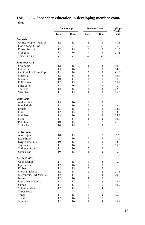## TABLE 2F - Secondary education in developing member coun**tries**

|                            |       | <b>Entrance Age</b> |                | <b>Duration (Years)</b> | <b>Pupils per</b><br><b>Teacher</b> |
|----------------------------|-------|---------------------|----------------|-------------------------|-------------------------------------|
|                            | Lower | Upper               | Lower          | Upper                   | Ratio                               |
| East Asia                  |       |                     |                |                         |                                     |
| China, People's Rep. of    | 12    | 15                  | 3              | 3                       | 17.1                                |
| Hong Kong, China           |       |                     |                |                         |                                     |
| Korea, Rep. of             | 12    | 15                  | 3              | 3                       | 21.0                                |
| Mongolia                   | 12    | 16                  | 4              | $\overline{2}$          | 21.1                                |
| Taipei, China              |       | $\ddotsc$           | $\ddotsc$      | $\ddotsc$               |                                     |
| Southeast Asia             |       |                     |                |                         |                                     |
| Cambogia                   | 12    | 15                  | 3              | 3                       | 19.6                                |
| Indonesia                  | 13    | 16                  | 3              | 3                       | 14.3                                |
| Lao People's Dem. Rep.     | 11    | 14                  | 3              | 3                       | 227                                 |
| Malaysia                   | 12    | 15                  | 3              | $\overline{4}$          | 19.4                                |
| Myanmar                    | 10    | 14                  | 4              | $\overline{2}$          | 30.8                                |
| Philippines                | 12    | 15                  | 3              | 1                       | 36.4                                |
| Singapore                  | 12    | 16                  | 4              | 3                       | $\cdots$                            |
| Thailand                   | 12    | 15                  | 3              | 3                       | 22.3                                |
| Viet Nam                   | 11    | 15                  | 4              | 3                       | 26.9                                |
| South Asia                 |       |                     |                |                         |                                     |
| Afghanistan                | 13    | 16                  | 3              | 3                       |                                     |
| Bangladesh                 | 11    | 16                  | 5              | $\overline{2}$          | 38.4                                |
| Bhutan                     | 13    | 15                  | $\overline{2}$ | $\overline{2}$          | 32.6                                |
| India                      | 12    | 15                  | 3              | 3                       | 33.6                                |
| Maldives                   | 13    | 16                  | 3              | $\overline{2}$          | 15.3                                |
| Nepal                      | 11    | 14                  | 3              | $\overline{2}$          | 29.6                                |
| Pakistan                   | 10    | 15                  | 5              | $\overline{2}$          | 21.0                                |
| Sri Lanka                  | 10    | 15                  | 5              | 3                       |                                     |
| Central Asia               |       |                     |                |                         |                                     |
| Azerbaijan                 | 10    | 15                  | 5              | $\overline{2}$          | 8.0                                 |
| Kazakhstan                 | 11    | 16                  | 5              | $\overline{2}$          | 11.9                                |
| Kyrgyz Republic            | 10    | 15                  | 5              | $\overline{2}$          | 13.7                                |
| Tajikistan                 | 11    | 16                  | 5              | $\overline{2}$          | 15.5                                |
| Turkmennistan              | 11    | 16                  | 5              | $\overline{2}$          |                                     |
| Uzbekistan                 | 10    | 15                  | 5              | $\overline{2}$          |                                     |
| <b>Pacific DMCs</b>        |       |                     |                |                         |                                     |
| Cook Islands               | 11    | 15                  | $\overline{4}$ | 4                       |                                     |
| Fiji Islands               | 12    | 16                  | 4              | 3                       |                                     |
| Kiribati                   | 12    | 15                  | 3              | $\overline{2}$          |                                     |
| Marshall Islands           | 12    | 14                  | 2              | $\overline{4}$          | 21.6                                |
| Micronesia, Fed. States of | 12    | 14                  | $\overline{2}$ | 4                       | 29.6                                |
| Nauru                      | 12    | 16                  | 4              | $\overline{2}$          | $\cdots$                            |
| Papua New Guinea           | 13    | 17                  | 4              | $\overline{2}$          | 22.2                                |
| Samoa                      | 11    | 13                  | $\overline{2}$ | 5                       | 19.9                                |
| Solomon Islands            | 12    | 15                  | 3              | $\overline{4}$          |                                     |
| Timor-Leste                |       | $\cdots$            |                |                         |                                     |
| Tonga                      | 11    | 15                  | $\overline{4}$ | $\overline{2}$          | 9.7                                 |
| Tovalu                     | 12    | 16                  | 4              | $\overline{2}$          |                                     |
| Vanuatu                    | 12    | 16                  | 4              | 4                       | 26.3                                |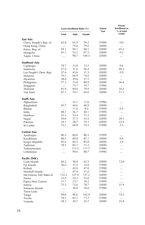|                            |           | Gross Enrollment Ratio (%) |          | School<br>Year | Private<br><b>Enrollment</b> as<br>% of total |
|----------------------------|-----------|----------------------------|----------|----------------|-----------------------------------------------|
|                            | Total     | Male                       | Female   |                | (1999)                                        |
| East Asia                  |           |                            |          |                |                                               |
| China, People's Rep. of    | 62.8      | 65.9                       | 59.5     | (1999)         | 0.0                                           |
| Hong Kong, China           |           | 75.0                       | 79.0     | (2000)         | $\ddotsc$                                     |
| Korea, Rep. of             | 94.1      | 94.1                       | 94.1     | (2000)         | 45.2                                          |
| Mongolia                   | 61.1      | 55.2                       | 67.2     | (2000)         | 0.2                                           |
| Taipei, China              | $\ddotsc$ | 98.1                       | 100.5    | (2000)         |                                               |
| Southeast Asia             |           |                            |          |                |                                               |
| Cambogia                   | 18.7      | 23.8                       | 13.5     | (2000)         | 0.6                                           |
| Indonesia                  | 57.0      | 57.6                       | 56.4     | (2000)         | 49.2                                          |
| Lao People's Dem. Rep.     | 37.6      | 43.6                       | 31.3     | (2000)         | 0.9                                           |
| Malaysia                   | 70.3      | 66.9                       | 74.0     | (2000)         |                                               |
| Myanmar                    | 38.6      | 39.6                       | 37.5     | (2000)         |                                               |
| Philippines                | 77.3      | 73.8                       | 80.9     | (2000)         | 36.4                                          |
| Singapore                  | $\ddotsc$ | 75.7                       | 74.7     | (1996)         | $\ddotsc$                                     |
| Thailand                   | 81.9      | 84.0                       | 79.9     | (2000)         | 16.2                                          |
| Viet Nam                   | 67.1      | 70.1                       | 64.0     | (2000)         | 11.3                                          |
| South Asia                 |           |                            |          |                |                                               |
| Afghanistan                | $\cdots$  | 32.1                       | 11.6     | (1996)         |                                               |
| Bangladesh                 | 45.7      | 44.6                       | 46.9     | (2000)         |                                               |
| Bhutan                     | $\ddotsc$ | 11.0                       | 9.0      | (1999)         | 0.4                                           |
| India                      | 48.7      | 56.7                       | 40.1     | (1999)         | $\cdots$                                      |
| Maldives                   | 55.3      | 53.4                       | 57.2     | (2000)         | $\ddotsc$                                     |
| Nepal                      | 50.6      | 57.5                       | 43.2     | (2000)         | 26.3                                          |
| Pakistan                   | 24.1      | 28.7                       | 19.3     | (2000)         | 22.4                                          |
| Sri Lanka                  | 72.1      | 69.8                       | 74.5     | (1998)         | 2.5                                           |
| Central Asia               |           |                            |          |                |                                               |
| Azerbaijan                 | 80.2      | 80.0                       | 80.3     | (1999)         | $\ldots$                                      |
| Kazakhstan                 | 88.5      | 89.8                       | 87.1     | (2000)         | 0.6                                           |
| Kyrgyz Republic            | 85.6      | 85.5                       | 85.8     | (2000)         | 2.0                                           |
| Tajikistan                 | 78.5      | 85.7                       | 71.2     | (2000)         |                                               |
| Turkmennistan              | $\ddotsc$ | 112.3                      | 111.7    | (1996)         |                                               |
| Uzbekistan                 |           | 99.6                       | 88.7     | (1996)         |                                               |
| <b>Pacific DMCs</b>        |           |                            |          |                |                                               |
| Cook Islands               | 60.2      | 58.0                       | 62.5     | (2000)         | 12.6                                          |
| Fiji Islands               | 36.0      | 37.0                       | 35.0     | (1998)         | $\ddotsc$                                     |
| Kiribati                   |           | 42.0                       | 47.0     | (1998)         |                                               |
| Marshall Islands           | $\cdots$  | 47.0                       | 51.0     | (1998)         |                                               |
| Micronesia, Fed. States of | 132.2     | 127.4                      | 137.2    | (2000)         |                                               |
| Nauru                      | 53.9      | 52.3                       | 55.6     | (1998)         |                                               |
| Papua New Guinea           | 21.1      | 23.7                       | 18.2     | (1999)         |                                               |
| Samoa                      | 75.5      | 72.6                       | 78.7     | (2000)         | 31.9                                          |
| Solomon Islands            |           | 30.0                       | 18.0     | (1998)         |                                               |
| Timor-Leste                | $\cdots$  | $\cdots$                   | $\cdots$ |                | $\ldots$                                      |
| Tonga                      | 99.6      | 96.6                       | 102.9    | (2000)         | 74.5                                          |
| Tovalu                     | 78.3      | 83.1                       | 73.1     | (1998)         | $\cdots$                                      |
| Vanuatu                    | 28.3      | 30.7                       | 25.7     | (2000)         | 25.8                                          |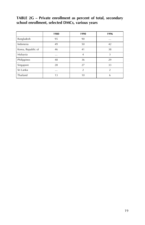TABLE 2G – Private enrollment as percent of total, secondary **school enrollment, selected DMCs, various years**

|                    | 1980     | 1990           | 1996           |
|--------------------|----------|----------------|----------------|
| Bangladesh         | 95       | 90             | $\cdots$       |
| Indonesia          | 49       | 50             | 42             |
| Korea, Republic of | 46       | 41             | 38             |
| Malaysia           | $\cdots$ | $\overline{4}$ | 3              |
| Philippines        | 48       | 36             | 29             |
| Singapore          | 28       | 27             | 33             |
| Sri Lanka          | $\cdots$ | $\overline{2}$ | $\overline{2}$ |
| Thailand           | 13       | 10             | 6              |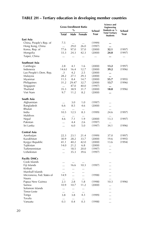## TABLE 2H - Tertiary education in developing member countries

|                            | <b>Gross Enrollment Ratio</b><br>$\%$ |           |               | School | Science and<br><b>Engineering</b><br>Students as % | School |
|----------------------------|---------------------------------------|-----------|---------------|--------|----------------------------------------------------|--------|
|                            | <b>Total</b>                          | Male      | <b>Female</b> | Year   | <b>Total Tertiary</b><br><b>Students</b>           | Year   |
| East Asia                  |                                       |           |               |        |                                                    |        |
| China, People's Rep. of    | 7.5                                   | $\cdots$  | $\cdots$      | (1999) |                                                    |        |
| Hong Kong, China           | $\ddotsc$                             | 29.0      | 26.0          | (1997) |                                                    |        |
| Korea, Rep. of             | 77.6                                  | 97.0      | 57.0          | (2000) | 32.1                                               | (1997) |
| Mongolia                   | 33.3                                  | 24.3      | 42.3          | (2000) | 24.0                                               | (1997) |
| Taipei, China              | $\ddotsc$                             |           |               |        |                                                    |        |
| Southeast Asia             |                                       |           |               |        |                                                    |        |
| Cambogia                   | 2.8                                   | 4.1       | 1.6           | (2000) | 13.2                                               | (1997) |
| Indonesia                  | 14.63                                 | 16.4      | 12.7          | (2000) | 39.2                                               | (1996) |
| Lao People's Dem. Rep.     | .3                                    | 4.2       | 2.5           | (2000) |                                                    |        |
| Malaysia                   | 28.2                                  | 27.1      | 29.3          | (2000) |                                                    |        |
| Myanmar                    | 11.5                                  | 8.4       | 14.7          | (2000) | 55.7                                               | (1995) |
| Philippines                | 31.2                                  | 29.47     | 32.7          | (2000) | 13.7                                               | (1996) |
| Singapore                  |                                       | 47.0      | 40.0          | (1997) | $\cdots$                                           |        |
| Thailand                   | 35.3                                  | 38.9      | 31.7          | (2000) | 18.0                                               | (1996) |
| Viet Nam                   | 9.7                                   | 11.2      | 8.2           | (2000) |                                                    |        |
| South Asia                 |                                       |           |               |        |                                                    |        |
| Afghanistan                | $\cdots$                              | 3.0       | 1.0           | (1997) |                                                    |        |
| Bangladesh                 | 6.6                                   | 8.5       | 4.6           | (2000) | $\cdots$                                           |        |
| Bhutan                     |                                       | $\ddotsc$ | $\ddotsc$     |        | $\ddotsc$                                          |        |
| India                      | 10.5                                  | 12.5      | 8.3           | (1999) | 24.6                                               | (1997) |
| Maldives                   | $\ddotsc$                             | $\cdots$  | $\cdots$      |        | $\ldots$                                           |        |
| Nepal                      | 4.6                                   | 7.1       | 1.9           | (2000) | 13.3                                               | (1997) |
| Pakistan                   |                                       | 4.4       | 2.6           | (1997) | $\cdots$                                           |        |
| Sri Lanka                  | $\ddotsc$                             | 6.0       | 5.0           | (1997) | 34.1                                               | (1996) |
| Central Asia               |                                       |           |               |        |                                                    |        |
| Azerbaijan                 | 22.3                                  | 23.1      | 21.4          | (1999) | 37.0                                               | (1997) |
| Kazakhstan                 | 30.9                                  | 28.2      | 33.7          | (2000) | 19.6                                               | (1995) |
| Kyrgyz Republic            | 41.1                                  | 40.2      | 42.0          | (2000) | 13.6                                               | (1994) |
| Tajikistan                 | 14.0                                  | 21.2      | 6.8           | (2000) | $\ddotsc$                                          |        |
| Turkmennistan              | $\cdots$                              | 18.5      | 20.0          | (1997) |                                                    |        |
| Uzbekistan                 | $\ddotsc$                             | 35.3      | 39.6          | (1997) |                                                    |        |
| <b>Pacific DMCs</b>        |                                       |           |               |        |                                                    |        |
| Cook Islands               |                                       |           |               |        |                                                    |        |
| Fiji Islands               | $\ddotsc$                             | 16.6      | 10.3          | (1997) |                                                    |        |
| Kiribati                   | $\cdots$                              |           |               |        |                                                    |        |
| Marshall Islands           | $\cdots$                              | $\ddotsc$ | $\ddotsc$     |        |                                                    |        |
| Micronesia, Fed. States of | 14.9                                  |           |               | (1998) |                                                    |        |
| Nauru                      | $\ddotsc$                             |           | $\ddotsc$     |        | $\ddotsc$                                          |        |
| Papua New Guinea           | 2.3                                   | 2.8       | 1.8           | (1998) | 10.3                                               | (1996) |
| Samoa                      | 10.9                                  | 10.7      | 11.2          | (2000) |                                                    |        |
| Solomon Islands            |                                       |           |               |        |                                                    |        |
| Timor-Leste                | $\cdots$                              |           |               |        |                                                    |        |
| Tonga                      | 3.8                                   | 3.8       | 4.3           | (1999) |                                                    |        |
| Tovalu                     | $\cdots$                              | $\cdots$  | $\cdots$      |        |                                                    |        |
| Vanuatu                    | 0.3                                   | 0.4       | 0.3           | (1998) |                                                    |        |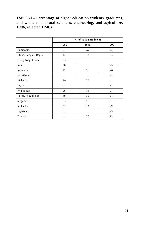#### TABLE 2I – Percentage of higher education students, graduates, **and women in natural sciences, engineering, and agriculture, 1996, selected DMCs**

|                         | % of Total Enrollment |      |      |  |  |  |
|-------------------------|-----------------------|------|------|--|--|--|
|                         | 1980                  | 1990 | 1990 |  |  |  |
| Cambodia                | .                     | .    | 23   |  |  |  |
| China, People's Rep. of | 47                    | 47   | 53   |  |  |  |
| Hong Kong, China        | 53                    | .    |      |  |  |  |
| India                   | 28                    | .    | 25   |  |  |  |
| Indonesia               | 21                    | 21   | 28   |  |  |  |
| Kazakhstan              | .                     | .    | 42   |  |  |  |
| Malaysia                | 30                    | 26   | .    |  |  |  |
| Myanmar                 | .                     | .    | 37   |  |  |  |
| Philippines             | 29                    | 38   | .    |  |  |  |
| Korea, Republic of      | 49                    | 36   | 34   |  |  |  |
| Singapore               | 53                    | 51   | .    |  |  |  |
| Sri Lanka               | 33                    | 33   | 29   |  |  |  |
| Tajikistan              | .                     | .    | 23   |  |  |  |
| Thailand                | .                     | 18   | 21   |  |  |  |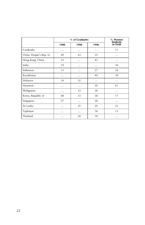|                         |          | % Women<br><b>Students</b> |          |          |  |  |
|-------------------------|----------|----------------------------|----------|----------|--|--|
|                         | 1980     | 1990                       | 1996     | In Field |  |  |
| Cambodia                | $\cdots$ |                            | $\cdots$ | 11       |  |  |
| China, People's Rep. of | 49       | 43                         | 35       | .        |  |  |
| Hong Kong, China        | 33       | .                          | 42       | .        |  |  |
| India                   | 19       | .                          | .        | 30       |  |  |
| Indonesia               | 13       | .                          | 27       | 24       |  |  |
| Kazakhstan              | .        |                            | 40       | 39       |  |  |
| Malaysia                | 34       | 32                         |          | .        |  |  |
| Myanmar                 | .        | .                          | 30       | 61       |  |  |
| Philippines             | .        | 23                         | 28       | .        |  |  |
| Korea, Republic of      | 48       | 33                         | 38       | 17       |  |  |
| Singapore               | 57       |                            | 58       | .        |  |  |
| Sri Lanka               | .        | 25                         | 29       | 31       |  |  |
| Tajikistan              | .        | .                          | 18       | 13       |  |  |
| Thailand                | .        | 20                         | 18       | .        |  |  |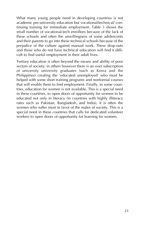What many young people need in developing countries is not academic pre-university education but vocational/technical/ continuing training for immediate employment. Table 3 shows the small number of vocational-tech enrollees because of the lack of these schools and often the unwillingness of some adolescents and their parents to go into these technical schools because of the prejudice of the culture against manual work. These drop-outs and those who do not have technical education will find it difficult to find useful employment in their adult lives.

Tertiary education is often beyond the means and ability of poor sectors of society; in others however there is an over subscription of university university graduates (such as Korea and the Philippines) creating the 'educated unemployed' who must be helped with some short training programs and nonformal courses that will enable them to find employment. Finally, in some countries, education for women is not available. This is a special need in these countries, to open doors of opportunity for women to be educated not only in literacy (in countries with highly illiteracy rates such as Pakistan, Bangladesh, and India), it is often the women who suffer most in favor of the males of society. This is a special need in these countries that calls for dedicated volunteer workers to open doors of opportunity for learning for women.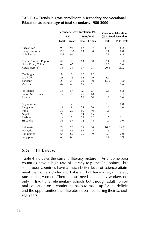#### TABLE 3 - Trends in gross enrollment in secondary and vocational. **Education as percentage of total secondary, 1980-2000**

|                         |              | Secondary Gross Enrollment (%) | <b>Vocational Education</b> |           |          |                        |
|-------------------------|--------------|--------------------------------|-----------------------------|-----------|----------|------------------------|
|                         |              | 1980                           |                             | 1999/2000 |          | (% of Total Secondary) |
|                         | <b>Total</b> | Female                         | Total                       | Female    | 1980     | 1995/1998              |
| Kazakhstan              | 93           | 93                             | 87                          | 87        | 11.8     | 8.2                    |
| Kyrgyz Republic         | 110          | 108                            | 83                          | 84        | 8.1      | 6.0                    |
| Uzbekistan              | 105          | 94                             | $\cdots$                    |           | 7.7      | 6.5                    |
| China, People's Rep. of | 46           | 37                             | 63                          | 60        | 2.1      | 15.0                   |
| Hong Kong, China        | 64           | 65                             | $\cdots$                    |           | 6.6      | 3.0                    |
| Korea, Rep. of          | 78           | 74                             | 97                          | 97        | 20.5     | 20.2                   |
| Cambogia                | 8            | 5                              | 17                          | 12        |          |                        |
| Lao PDR                 | 21           | 16                             | 36                          | 29        | 2.2      | 1.1                    |
| Thailand                | 29           | 28                             | 79                          | 80        | 15.5     | 18.0                   |
| Viet Nam                | 42           | 40                             | 65                          | 61        | 0.0      | 2.6                    |
| Fiji Islands            | 55           | 57                             |                             |           | 5.5      | 5.2                    |
| Papua New Guinea        | 12           | 8                              | 21                          | 18        | 0.0      | 10.2                   |
| Samoa                   |              |                                | 76                          | 80        | 1.3      | 0.0                    |
| Afghanistan             | 10           | 4                              | $\cdots$                    |           | 8.8      | 0.0                    |
| Bangladesh              | 19           | 9                              | 54                          | 56        | 1.0      | 1.0                    |
| India                   | 30           | 20                             | 50                          | 40        | 1.3      | 1.1                    |
| Nepal                   | 22           | 9                              | 54                          | 45        | $\cdots$ | $\cdots$               |
| Pakistan                | 14           | 8                              | 39                          | 32        | 1.5      | 1.1                    |
| Sri Lanka               | 55           | 57                             | 72                          | 74        | 1.0      | 0.0                    |
| Indonesia               | 29           | 23                             | 55                          | 54        | 10.7     | 12.7                   |
| Malaysia                | 48           | 46                             | 99                          | 104       | 1.8      | 2.7                    |
| Philippines             | 64           | 69                             | 76                          | 79        | 0.0      | 0.0                    |
| Singapore               | 60           | 60                             | $\cdots$                    |           | 7.4      | 3.9                    |

## 2.3. Illiteracy

Table 4 indicates the current illiteracy picture in Asia. Some poor countries have a high rate of literacy (e.g. the Philippines), but some poor countries have a much better level of science attainment than others (India and Pakistan) but have a high illiteracy rate among women. There is thus need for literacy workers not only in traditional elementary schools but through adult nonformal education on a continuing basis to make up for the deficits and the opportunities the illiterates never had during their schoolage years.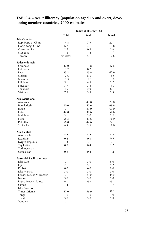#### TABLE 4 – Adult illiteracy (population aged 15 and over), deve**loping member countries, 2000 estimates**

|                                                  | Index of illiteracy (%) |          |                 |  |  |  |
|--------------------------------------------------|-------------------------|----------|-----------------|--|--|--|
|                                                  | <b>Total</b>            | Male     | Female          |  |  |  |
| Asia Oriental                                    |                         |          |                 |  |  |  |
| Rep. Popular China                               | 14.8                    | 7.9      | 22.1            |  |  |  |
| Hong Kong, China                                 | 6.7                     | 3.1      | 10.8            |  |  |  |
| Corea del Sur                                    | 2.2                     | 0.9      | 3.6             |  |  |  |
| Mongolia                                         | 1.6                     | 1.4      | 1.7             |  |  |  |
| Taiwan                                           | sin datos               | 5.1      | 12.6            |  |  |  |
| Sudeste de Asia                                  |                         |          |                 |  |  |  |
| Camboya                                          | 32.0                    | 19.8     | 42.8            |  |  |  |
| Indonesia                                        | 13.2                    | 8.2      | 18.1            |  |  |  |
| Laos                                             | 35.2                    | 23.8     | 46.6            |  |  |  |
| Malasia                                          | 12.6                    | 8.6      | 16.6            |  |  |  |
| Myanmar                                          | 15.3                    | 11.1     | 19.5            |  |  |  |
| Filipinas                                        | 5.1                     | 4.9      | 5.2             |  |  |  |
| Singapur                                         | 7.7                     | 3.8      | 11.7            |  |  |  |
| Tailandia                                        | 4.5                     | 2.9      | 6.1             |  |  |  |
| Vietnam                                          | 7.5                     | 5.5      | 9.3             |  |  |  |
| Asia Meridional                                  |                         |          |                 |  |  |  |
| Afganistán                                       | $\ldots$                | 49.0     | 79.0            |  |  |  |
| Bangladesh                                       | 60.0                    | 50.6     | 69.8            |  |  |  |
| Bután                                            | $\ddotsc$               | 39.0     | 66.0            |  |  |  |
| India                                            | 42.8                    | 31.6     | 54.6            |  |  |  |
| Maldivas                                         | 3.1                     | 3.0      | 3.2             |  |  |  |
| Nepal                                            | 58.3                    | 40.6     | 76.0            |  |  |  |
| Pakistán                                         | 56.8                    | 42.6     | 72.1            |  |  |  |
| Sri Lanka                                        | 8.4                     | 5.6      | 11.0            |  |  |  |
| Asia Central                                     |                         |          |                 |  |  |  |
| Azerbaiyán                                       | 2.7                     | 2.7      | 2.7             |  |  |  |
| Kazajstán                                        | 0.6                     | 0.3      | 0.9             |  |  |  |
| Kyrgyz Republic                                  | 1.3                     | $\cdots$ | $\cdots$<br>1.2 |  |  |  |
| Tayikistán<br>Turkmenistán                       | 0.8                     | 0.4      |                 |  |  |  |
| Uzbekistán                                       | $\ddotsc$               | $\cdots$ | $\cdots$<br>1.2 |  |  |  |
|                                                  | 0.8                     | 0.4      |                 |  |  |  |
| Países del Pacifico en vías<br><b>Islas Cook</b> |                         | 7.0      | 6.0             |  |  |  |
| Fiji                                             | <br>7.1                 | 5.1      | 9.2             |  |  |  |
| Kiribati                                         | 8.0                     | 6.0      | 9.0             |  |  |  |
| Islas Marshall                                   | 3.0                     | 3.0      | 3.0             |  |  |  |
| Estados Fed. de Micronesia                       |                         | 23.0     | 34.0            |  |  |  |
| Nauru                                            | 5.0                     | 5.0      | 5.0             |  |  |  |
| Papua Nueva Guinea                               | 36.1                    | 29.4     | 43.2            |  |  |  |
| Samoa                                            | 1.4                     | 1.1      | 1.7             |  |  |  |
| Islas Salomón                                    |                         | $\cdots$ | $\ldots$        |  |  |  |
| <b>Timor Oriental</b>                            | 57.0                    | 56.9     | 57.2            |  |  |  |
| Tonga                                            | 1.0                     | 1.0      | 1.0             |  |  |  |
| Tuvalu                                           | 5.0                     | 5.0      | 5.0             |  |  |  |
| Vanuatu                                          | $\ldots$                | $\cdots$ | $\ldots$        |  |  |  |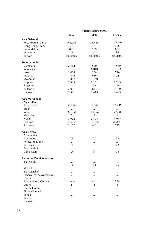|                             | Illiterate adults ('000) |           |           |  |  |  |
|-----------------------------|--------------------------|-----------|-----------|--|--|--|
|                             | <b>Total</b>             | Male      | Female    |  |  |  |
| Asia Oriental               |                          |           |           |  |  |  |
| Rep. Popular China          | 141.903                  | 38.424    | 103.499   |  |  |  |
| Hong Kong, China            | 387                      | 91        | 306       |  |  |  |
| Corea del Sur               | 831                      | 159       | 673       |  |  |  |
| Mongolia                    | 26                       | 11        | 14        |  |  |  |
| Taiwan                      | sin datos                | sin datos | sin datos |  |  |  |
| Sudeste de Asia             |                          |           |           |  |  |  |
| Camboya                     | 2.352                    | 689       | 1.660     |  |  |  |
| Indonesia                   | 19.377                   | 6.018     | 13.306    |  |  |  |
| Laos                        | 1.064                    | 354       | 716       |  |  |  |
| Malasia                     | 1.846                    | 636       | 1.211     |  |  |  |
| Myanmar                     | 4.897                    | 1.740     | 3.161     |  |  |  |
| Filipinas                   | 2.395                    | 1.161     | 1.235     |  |  |  |
| Singapur                    | 243                      | 59        | 184       |  |  |  |
| Tailandia                   | 2.081                    | 647       | 1.440     |  |  |  |
| Vietnam                     | 3.901                    | 1.419     | 2.463     |  |  |  |
| Asia Meridional             |                          |           |           |  |  |  |
| Afganistán                  | $\cdots$                 | $\cdots$  | $\cdots$  |  |  |  |
| Bangladesh                  | 50.558                   | 22.035    | 28.445    |  |  |  |
| Bután                       | $\cdots$                 | $\cdots$  | $\ddotsc$ |  |  |  |
| India                       | 286.951                  | 109.367   | 177.689   |  |  |  |
| Maldivas                    | 5                        | 3         | 3         |  |  |  |
| Nepal                       | 7.922                    | 2.808     | 5.065     |  |  |  |
| Pakistán                    | 46.702                   | 17.980    | 28.871    |  |  |  |
| Sri Lanka                   | 1.167                    | 401       | 745       |  |  |  |
| Asia Central                |                          |           |           |  |  |  |
| Azerbaiyán                  |                          |           |           |  |  |  |
| Kazajstán                   | 72                       | 20        | 53        |  |  |  |
| Kyrgyz Republic             | $\cdots$                 | $\ldots$  | $\ldots$  |  |  |  |
| Tayikistán                  | 30                       | 8         | 22        |  |  |  |
| Turkmenistán                | $\ddotsc$                | $\ddotsc$ | $\ddotsc$ |  |  |  |
| Uzbekistán                  | 126                      | 31        | 94        |  |  |  |
| Países del Pacifico en vías |                          |           |           |  |  |  |
| Islas Cook                  |                          | $\cdots$  |           |  |  |  |
| Fiji                        | 39                       | 14        | 25        |  |  |  |
| Kiribati                    |                          | $\cdots$  |           |  |  |  |
| Islas Marshall              |                          | $\cdots$  | $\cdots$  |  |  |  |
| Estados Fed. de Micronesia  |                          |           |           |  |  |  |
| Nauru                       |                          | $\cdots$  | $\cdots$  |  |  |  |
| Papua Nueva Guinea          | 1.040                    | 443       | 594       |  |  |  |
| Samoa                       | 1                        | 1         | 1         |  |  |  |
| Islas Salomón               |                          |           |           |  |  |  |
| <b>Timor Oriental</b>       |                          |           | $\ddotsc$ |  |  |  |
| Tonga                       |                          |           |           |  |  |  |
| Tuvalu                      |                          |           |           |  |  |  |
| Vanuatu                     |                          |           | .         |  |  |  |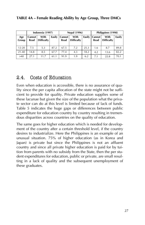|              |                | Indonesia (1997)          |        |                  | <b>Nepal (1996)</b>       |        | Philippines (1998)    |                           |        |
|--------------|----------------|---------------------------|--------|------------------|---------------------------|--------|-----------------------|---------------------------|--------|
| Age<br>Group | Cannot<br>Read | With<br><b>Difficulty</b> | Easily | Cannot  <br>Read | With<br><b>Difficulty</b> | Easily | <b>Cannot</b><br>Read | With<br><b>Difficulty</b> | Easily |
| $12 - 20$    | 7.5            | 5.3                       | 87.2   | 67.5             | 7.2                       | 25.3   | 1.6                   | 8.7                       | 89.8   |
| $21 - 40$    | 14.8           | 8.5                       | 67.7   | 77.4             | 4.3                       | 18.2   | 4.2                   | 13.6                      | 82.2   |
| >40          | 27.1           | 11.7                      | 61.1   | 91.9             | 1.9                       | 6.2    | 7.1                   | 22.8                      | 70.1   |

## **TABLE 4A - Female Reading Ability by Age Group, Three DMCs**

## 2.4. Costs of Education

Even when education is accessible, there is no assurance of quality since the per capita allocation of the state might not be sufficient to provide for quality. Private education supplies some of these lacunae but given the size of the population what the private sector can do at this level is limited because of lack of funds. Table 5 indicates the huge gaps or differences between public expenditure for education country by country resulting in tremendous disparities across countries on the quality of education.

The same goes for higher education which is needed for development of the country after a certain threshold level, if the country desires to industrialize. Here the Philippines is an example of an unusual situation. 75% of higher education (as in Korea and Japan) is private but since the Philippines is not an affluent country and since all private higher education is paid for by tuition from parents with no subsidy from the State, then the per student expenditures for education, public or private, are small resulting in a lack of quality and the subsequent unemployment of these graduates.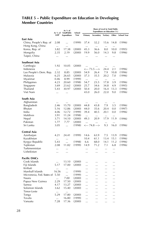#### TABLE 5 – Public Expenditure on Education in Developing **Member Countries**

|                            |                    | As % of<br>As % of TotalPublic | School | Share of Level in Total Public<br>Expenditure on Education (%) |                    |          |           |                    |
|----------------------------|--------------------|--------------------------------|--------|----------------------------------------------------------------|--------------------|----------|-----------|--------------------|
|                            | <b>GDP</b>         | Expenditure                    | Year   | Primary                                                        | Secondary Tertiary |          | Other     | <b>School Year</b> |
| East Asia                  |                    |                                |        |                                                                |                    |          |           |                    |
| China, People's Rep. of    | 2.08               |                                | (1999) | 37.4                                                           | 32.2               | 15.6     | 14.8      | (1996)             |
| Hong Kong, China           |                    |                                |        | $\ldots$                                                       | $\cdots$           |          | $\cdots$  |                    |
| Korea, Rep. of             | 3.82               | 17.38                          | (2000) | 45.3                                                           | 36.6               | 8.0      | 10.0      | (1995)             |
| Mongolia                   | 2.35               | 2.19                           | (2000) | 19.9                                                           | 56.0               | 14.3     | 9.8       | (1996)             |
| Taipei, China              | $\cdots$           |                                |        |                                                                |                    |          | $\ddotsc$ |                    |
| Southeast Asia             |                    |                                |        |                                                                |                    |          |           |                    |
| Cambogia                   | 1.92               | 10.05                          | (2000) | $\ddotsc$                                                      |                    |          | $\ldots$  |                    |
| Indonesia                  |                    |                                |        |                                                                | <--- 73.5 --->     | 24.4     | 2.1       | (1996)             |
| Lao People's Dem. Rep.     | 2.32               | 8.85                           | (2000) | 54.9                                                           | 26.4               | 7.9      | 10.8      | (1996)             |
| Malaysia                   | 6.25               | 26.65                          | (2000) | 37.3                                                           | 35.5               | 20.2     | 7.0       | (1996)             |
| Myanmar                    | 0.46               | 8.99                           | (1999) | $\cdots$                                                       | $\cdots$           | $\cdots$ | $\ldots$  |                    |
| Philippines                | 4.23               | 20.60                          | (1998) | 54.7                                                           | 23.5               | 17.8     | 3.9       | (1996)             |
| Singapore                  | 3.69               | 23.62                          | (2000) | 25.7                                                           | 34.6               | 34.8     | 4.9       | (1995)             |
| Thailand                   | 5.43               | 30.97                          | (2000) | 50.4                                                           | 20.0               | 16.4     | 13.3      | (1996)             |
| Viet Nam                   | $\cdots$           |                                |        | 43.0                                                           | 26.0               | 22.0     | 9.0       | (1996)             |
| South Asia                 |                    |                                |        |                                                                |                    |          |           |                    |
| Afghanistan                | $\cdots$           | $\cdots$                       |        |                                                                | $\cdots$           | $\cdots$ | $\cdots$  |                    |
| Bangladesh                 | 2.46               | 15.70                          | (2000) | 44.8                                                           | 43.8               | 7.9      | 3.5       | (1996)             |
| Bhutan                     | 5.16               | 12.86                          | (2000) | 44.0                                                           | 35.6               | 20.4     | 0.0       | (1997)             |
| India                      | 4.06               | 12.72                          | (1999) | 39.4                                                           | 40.5               | 20.1     | 0.0       | (1996)             |
| Maldives                   | 3.91               | 11.24                          | (1998) |                                                                | $\cdots$           |          | $\cdots$  |                    |
| Nepal                      | 3.71               | 14.10                          | (2000) | 49.3                                                           | 20.9               | 17.9     | 11.9      | (1996)             |
| Pakistan                   | 1.77               | 7.77                           | (2000) |                                                                | $\cdots$           |          | $\cdots$  |                    |
| Sri Lanka                  | 3.05               |                                | (1998) |                                                                | <--- 74.8 --->     | 9.3      | 16.0      | (1996)             |
| Central Asia               |                    |                                |        |                                                                |                    |          |           |                    |
| Azerbaijan                 | 4.21               | 24.41                          | (1999) | 14.6                                                           | 63.9               | 7.5      | 13.9      | (1996)             |
| Kazakhstan                 |                    |                                |        | 10.4                                                           | 61.1               | 13.4     | 15.1      | (1996)             |
| Kyrgyz Republic            | 5.43               |                                | (1998) | 6.6                                                            | 68.0               | 14.1     | 11.2      | (1996)             |
| Tajikistan                 | 2.08               | 11.82                          | (1999) | 14.9                                                           | 71.2               | 7.1      | 6.8       | (1996)             |
| Turkmennistan              | $\ddotsc$          | $\ddotsc$                      |        | $\ddotsc$                                                      |                    |          | $\ddotsc$ |                    |
| Uzbekistan                 | $\cdots$           |                                |        |                                                                |                    |          |           |                    |
| Pacific DMCs               |                    |                                |        |                                                                |                    |          |           |                    |
| Cook Islands               |                    | 13.10                          | (2000) |                                                                |                    |          |           |                    |
| Fiji Islands               | $\ldots$<br>5.17   | 17.00                          | (2000) |                                                                |                    |          |           |                    |
| Kiribati                   |                    |                                |        |                                                                |                    |          |           |                    |
| Marshall Islands           | $\ddotsc$<br>16.56 | $\ddotsc$                      | (1999) | $\ddotsc$                                                      | $\ddotsc$          |          | $\ddotsc$ |                    |
| Micronesia, Fed. States of | 5.50               | $\ddotsc$                      | (1999) |                                                                |                    |          |           |                    |
| Nauru                      |                    | $\cdots$<br>7.00               |        |                                                                |                    |          |           |                    |
|                            | <br>2.29           |                                | (2000) | $\ddotsc$                                                      | $\ddotsc$          |          |           |                    |
| Papua New Guinea<br>Samoa  |                    | 17.50                          | (2000) |                                                                |                    |          |           |                    |
|                            | 4.17               | 13.27                          | (2000) | $\cdots$                                                       |                    |          |           |                    |
| Solomon Islands            | 3.62               | 15.40                          | (2000) |                                                                |                    |          |           |                    |
| Timor-Leste                | $\cdots$           |                                |        |                                                                |                    |          |           |                    |
| Tonga                      | 5.29               | 17.80                          | (2000) |                                                                |                    |          |           |                    |
| Tovalu                     |                    | 16.80                          | (1999) |                                                                |                    |          |           |                    |
| Vanuatu                    | 7.28               | 17.36                          | (2000) |                                                                |                    |          |           |                    |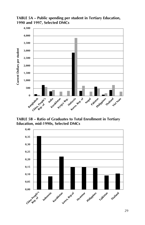TABLE 5A - Public spending per student in Tertiary Education, **1990 and 1997, Selected DMCs**



**TABLE 5B - Ratio of Graduates to Total Enrollment in Tertiary** 

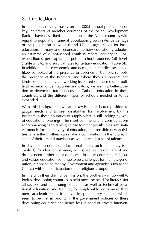# 3. Implications

In this paper, relying mostly on the 2003 annual publication on key indicators of member countries of the Asian Development Bank, I have described the situation in the Asian countries with regard to population, annual population growth rate, percentage of the population between 6 and 17 (the age bracket for basic education, primary and secondary), tertiary education graduates, an estimate of out-of-school youth numbers, per capita GNP, expenditures per capita for public school students (all levels (Table 5, 5A), and survival rates for tertiary education (Table 5B). In addition to these economic and demographic indicators, I have likewise looked at the presence or absence of Catholic schools, the presence of the Brothers, and where they are present, the kinds of schools they are working in. Based on these social, political, economic, demographic indicators, we are in a better position to determine future needs for Catholic education in these countries, and the different types of schools needed or to be expanded.

With this background, we are likewise in a better position to gauge needs and to see possibilities for involvement by the Brothers in these countries to supply what is still lacking by way of educational offerings. The short comments and considerations accompanying each table give rise to other possibilities, alternative models for the delivery of education, and possible new activities where the Brothers can make a contribution in the future, in spite of their limited numbers as well as modest set of talents.

In developed countries, educational needs such as literacy (see Table 3) (for children, women, adults) are well taken care of and do not need further help; of course, in these countries, religious and values education continue to be challenges for the new generation, a need to be met by Government and agencies such as the Church with the participation of all religious groups.

In line with their distinctive mission, the Brothers will do well to look at developing countries to help meet the need for literacy (for all sectors) and continuing education as well as technical-vocational education and training for employable skills more than mere academic skills in university preparatory schools which seem to be first in priority in the government policies of these developing countries and hence less in need of private interven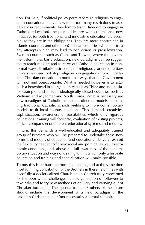tion. For Asia, if political policy permits foreign religious to engage in educational activities without too many restrictions (reasonable visa requirements, freedom to teach, freedom to engage in Catholic education), the possibilities are without limit and new initiatives for both traditional and innovative education are possible, as they are in the Philippines. They are more constrained in Islamic countries and other nonChristian countries which mistrust any attempts which may lead to conversion or proselytization. Even in countries such as China and Taiwan, where the government dominates basic education, new paradigms can be suggested to teach religion and to carry out Catholic education in nonformal ways. Similarly restrictions on religiously oriented tertiary universities need not stop religious congregations from undertaking Christian education in nonformal ways that the Government will not find objectionable. What is needed however is to establish a beachhead in a large country such as China and Indonesia, for example, and in such ideologically closed countries such as Vietnam and Myanmar and North Korea. What is necessary are new paradigms of Catholic education, different models supplanting traditional Catholic schools yielding to more contemporary models to fit local country situations. This demands creativity, sophistication, awareness of possibilities which only rigorous educational training will facilitate, evaluation of existing projects, critical comparison of different educational systems and models.

In turn, this demands a well-educated and adequately trained group of Brothers who will be prepared to undertake these new forms and models of education and educational delivery, exhibit the flexibility needed to fit new social and political as well as economic conditions, and, above all, full awareness of the contemporary situation and ways of dealing with it which only a first-rate education and training and specialization will make possible.

To me, this is perhaps the most challenging and at the same time most fulfilling contribution of the Brothers in these new times with hopefully a declericalized Church and a Church truly concerned for the poor which challenges its new generation of followers to take risks and to try new methods of delivery and carrying out of Christian formation. The agenda for the Brothers of the future should include the development of a new paradigm of the Lasallian Christian center (not necessarily a formal school).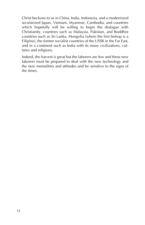Christ beckons to us in China, India, Indonesia, and a modernized secularized Japan, Vietnam, Myanmar, Cambodia, and countries which hopefully will be willing to begin the dialogue with Christianity, countries such as Malaysia, Pakistan, and Buddhist countries such as Sri Lanka, Mongolia (where the first bishop is a Filipino), the former socialist countries of the USSR in the Far East, and in a continent such as India with its many civilizations, cultures and religions.

Indeed, the harvest is great but the laborers are few and these new laborers must be prepared to deal with the new technology and the new mentalities and attitudes and be sensitive to the signs of the times.